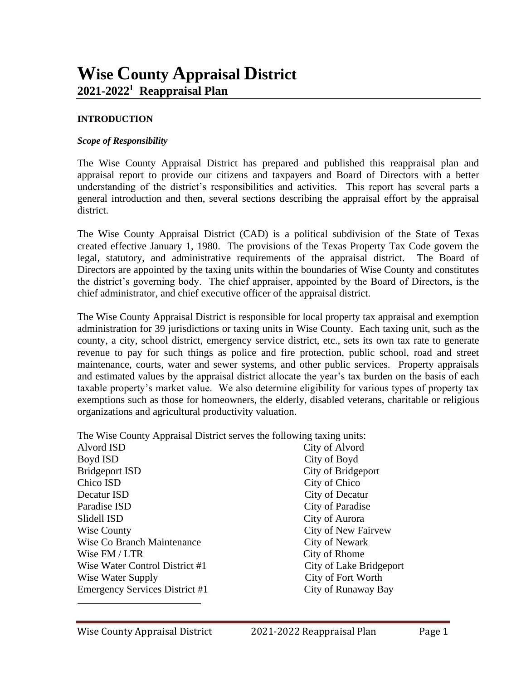#### **INTRODUCTION**

#### *Scope of Responsibility*

The Wise County Appraisal District has prepared and published this reappraisal plan and appraisal report to provide our citizens and taxpayers and Board of Directors with a better understanding of the district's responsibilities and activities. This report has several parts a general introduction and then, several sections describing the appraisal effort by the appraisal district.

The Wise County Appraisal District (CAD) is a political subdivision of the State of Texas created effective January 1, 1980. The provisions of the Texas Property Tax Code govern the legal, statutory, and administrative requirements of the appraisal district. The Board of Directors are appointed by the taxing units within the boundaries of Wise County and constitutes the district's governing body. The chief appraiser, appointed by the Board of Directors, is the chief administrator, and chief executive officer of the appraisal district.

The Wise County Appraisal District is responsible for local property tax appraisal and exemption administration for 39 jurisdictions or taxing units in Wise County. Each taxing unit, such as the county, a city, school district, emergency service district, etc., sets its own tax rate to generate revenue to pay for such things as police and fire protection, public school, road and street maintenance, courts, water and sewer systems, and other public services. Property appraisals and estimated values by the appraisal district allocate the year's tax burden on the basis of each taxable property's market value. We also determine eligibility for various types of property tax exemptions such as those for homeowners, the elderly, disabled veterans, charitable or religious organizations and agricultural productivity valuation.

| The Wise County Appraisal District serves the following taxing units: |                         |
|-----------------------------------------------------------------------|-------------------------|
| Alvord ISD                                                            | City of Alvord          |
| Boyd ISD                                                              | City of Boyd            |
| <b>Bridgeport ISD</b>                                                 | City of Bridgeport      |
| Chico ISD                                                             | City of Chico           |
| Decatur ISD                                                           | City of Decatur         |
| Paradise ISD                                                          | City of Paradise        |
| Slidell ISD                                                           | City of Aurora          |
| <b>Wise County</b>                                                    | City of New Fairvew     |
| Wise Co Branch Maintenance                                            | <b>City of Newark</b>   |
| Wise FM / LTR                                                         | City of Rhome           |
| Wise Water Control District #1                                        | City of Lake Bridgeport |
| Wise Water Supply                                                     | City of Fort Worth      |
| Emergency Services District #1                                        | City of Runaway Bay     |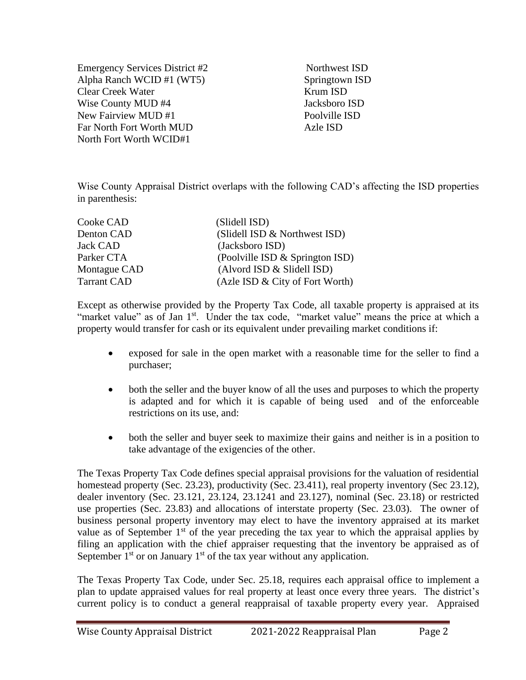Emergency Services District #2 Northwest ISD Alpha Ranch WCID #1 (WT5) Springtown ISD Clear Creek Water Krum ISD Wise County MUD #4 Jacksboro ISD New Fairview MUD #1 Poolville ISD Far North Fort Worth MUD Azle ISD North Fort Worth WCID#1

Wise County Appraisal District overlaps with the following CAD's affecting the ISD properties in parenthesis:

| Cooke CAD          | (Slidell ISD)                   |
|--------------------|---------------------------------|
| Denton CAD         | (Slidell ISD & Northwest ISD)   |
| <b>Jack CAD</b>    | (Jacksboro ISD)                 |
| Parker CTA         | (Poolville ISD & Springton ISD) |
| Montague CAD       | (Alvord ISD & Slidell ISD)      |
| <b>Tarrant CAD</b> | (Azle ISD & City of Fort Worth) |

Except as otherwise provided by the Property Tax Code, all taxable property is appraised at its "market value" as of Jan 1<sup>st</sup>. Under the tax code, "market value" means the price at which a property would transfer for cash or its equivalent under prevailing market conditions if:

- exposed for sale in the open market with a reasonable time for the seller to find a purchaser;
- both the seller and the buyer know of all the uses and purposes to which the property is adapted and for which it is capable of being used and of the enforceable restrictions on its use, and:
- both the seller and buyer seek to maximize their gains and neither is in a position to take advantage of the exigencies of the other.

The Texas Property Tax Code defines special appraisal provisions for the valuation of residential homestead property (Sec. 23.23), productivity (Sec. 23.411), real property inventory (Sec 23.12), dealer inventory (Sec. 23.121, 23.124, 23.1241 and 23.127), nominal (Sec. 23.18) or restricted use properties (Sec. 23.83) and allocations of interstate property (Sec. 23.03). The owner of business personal property inventory may elect to have the inventory appraised at its market value as of September  $1<sup>st</sup>$  of the year preceding the tax year to which the appraisal applies by filing an application with the chief appraiser requesting that the inventory be appraised as of September  $1<sup>st</sup>$  or on January  $1<sup>st</sup>$  of the tax year without any application.

The Texas Property Tax Code, under Sec. 25.18, requires each appraisal office to implement a plan to update appraised values for real property at least once every three years. The district's current policy is to conduct a general reappraisal of taxable property every year. Appraised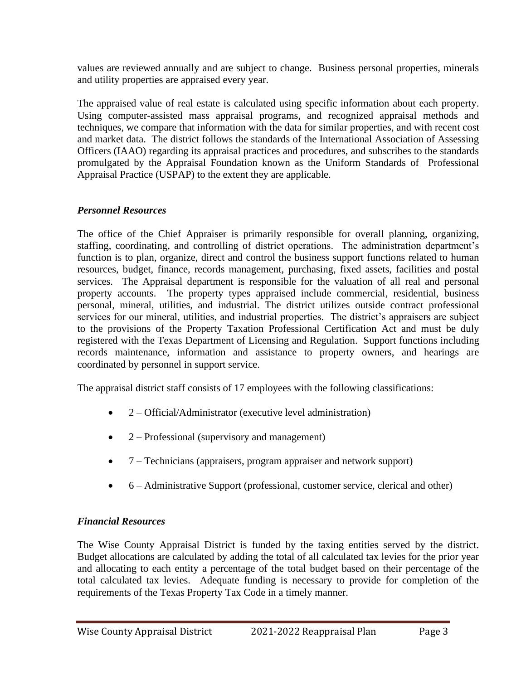values are reviewed annually and are subject to change. Business personal properties, minerals and utility properties are appraised every year.

The appraised value of real estate is calculated using specific information about each property. Using computer-assisted mass appraisal programs, and recognized appraisal methods and techniques, we compare that information with the data for similar properties, and with recent cost and market data. The district follows the standards of the International Association of Assessing Officers (IAAO) regarding its appraisal practices and procedures, and subscribes to the standards promulgated by the Appraisal Foundation known as the Uniform Standards of Professional Appraisal Practice (USPAP) to the extent they are applicable.

## *Personnel Resources*

The office of the Chief Appraiser is primarily responsible for overall planning, organizing, staffing, coordinating, and controlling of district operations. The administration department's function is to plan, organize, direct and control the business support functions related to human resources, budget, finance, records management, purchasing, fixed assets, facilities and postal services. The Appraisal department is responsible for the valuation of all real and personal property accounts. The property types appraised include commercial, residential, business personal, mineral, utilities, and industrial. The district utilizes outside contract professional services for our mineral, utilities, and industrial properties. The district's appraisers are subject to the provisions of the Property Taxation Professional Certification Act and must be duly registered with the Texas Department of Licensing and Regulation. Support functions including records maintenance, information and assistance to property owners, and hearings are coordinated by personnel in support service.

The appraisal district staff consists of 17 employees with the following classifications:

- 2 Official/Administrator (executive level administration)
- 2 Professional (supervisory and management)
- 7 Technicians (appraisers, program appraiser and network support)
- 6 Administrative Support (professional, customer service, clerical and other)

# *Financial Resources*

The Wise County Appraisal District is funded by the taxing entities served by the district. Budget allocations are calculated by adding the total of all calculated tax levies for the prior year and allocating to each entity a percentage of the total budget based on their percentage of the total calculated tax levies. Adequate funding is necessary to provide for completion of the requirements of the Texas Property Tax Code in a timely manner.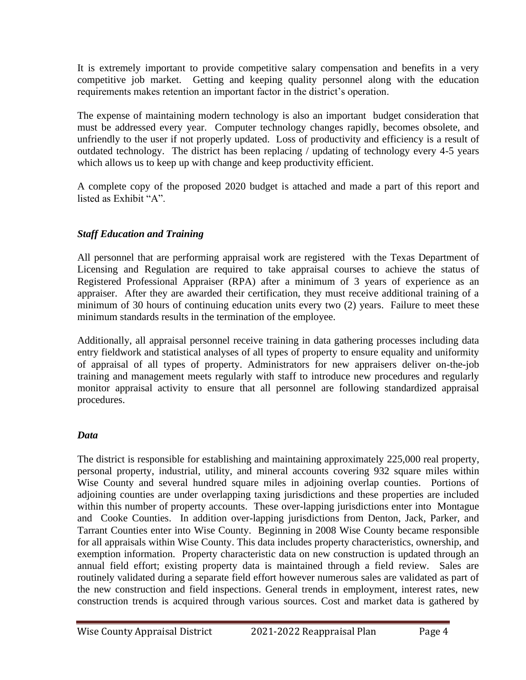It is extremely important to provide competitive salary compensation and benefits in a very competitive job market. Getting and keeping quality personnel along with the education requirements makes retention an important factor in the district's operation.

The expense of maintaining modern technology is also an important budget consideration that must be addressed every year. Computer technology changes rapidly, becomes obsolete, and unfriendly to the user if not properly updated. Loss of productivity and efficiency is a result of outdated technology. The district has been replacing / updating of technology every 4-5 years which allows us to keep up with change and keep productivity efficient.

A complete copy of the proposed 2020 budget is attached and made a part of this report and listed as Exhibit "A".

# *Staff Education and Training*

All personnel that are performing appraisal work are registered with the Texas Department of Licensing and Regulation are required to take appraisal courses to achieve the status of Registered Professional Appraiser (RPA) after a minimum of 3 years of experience as an appraiser. After they are awarded their certification, they must receive additional training of a minimum of 30 hours of continuing education units every two (2) years. Failure to meet these minimum standards results in the termination of the employee.

Additionally, all appraisal personnel receive training in data gathering processes including data entry fieldwork and statistical analyses of all types of property to ensure equality and uniformity of appraisal of all types of property. Administrators for new appraisers deliver on-the-job training and management meets regularly with staff to introduce new procedures and regularly monitor appraisal activity to ensure that all personnel are following standardized appraisal procedures.

# *Data*

The district is responsible for establishing and maintaining approximately 225,000 real property, personal property, industrial, utility, and mineral accounts covering 932 square miles within Wise County and several hundred square miles in adjoining overlap counties. Portions of adjoining counties are under overlapping taxing jurisdictions and these properties are included within this number of property accounts. These over-lapping jurisdictions enter into Montague and Cooke Counties. In addition over-lapping jurisdictions from Denton, Jack, Parker, and Tarrant Counties enter into Wise County. Beginning in 2008 Wise County became responsible for all appraisals within Wise County. This data includes property characteristics, ownership, and exemption information. Property characteristic data on new construction is updated through an annual field effort; existing property data is maintained through a field review. Sales are routinely validated during a separate field effort however numerous sales are validated as part of the new construction and field inspections. General trends in employment, interest rates, new construction trends is acquired through various sources. Cost and market data is gathered by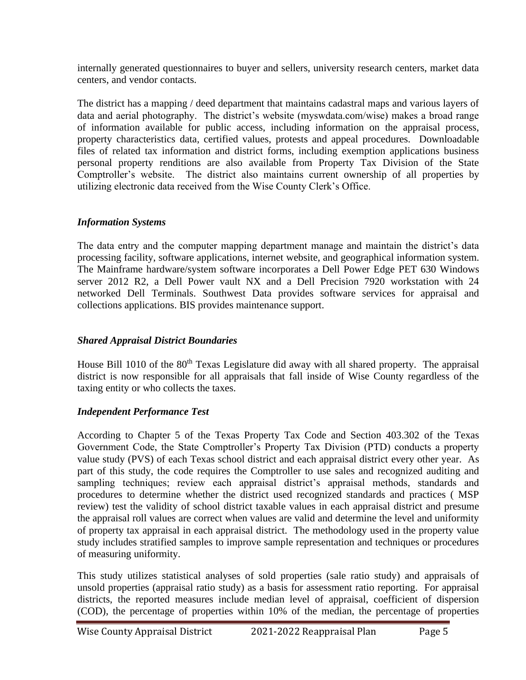internally generated questionnaires to buyer and sellers, university research centers, market data centers, and vendor contacts.

The district has a mapping / deed department that maintains cadastral maps and various layers of data and aerial photography. The district's website (myswdata.com/wise) makes a broad range of information available for public access, including information on the appraisal process, property characteristics data, certified values, protests and appeal procedures. Downloadable files of related tax information and district forms, including exemption applications business personal property renditions are also available from Property Tax Division of the State Comptroller's website. The district also maintains current ownership of all properties by utilizing electronic data received from the Wise County Clerk's Office.

## *Information Systems*

The data entry and the computer mapping department manage and maintain the district's data processing facility, software applications, internet website, and geographical information system. The Mainframe hardware/system software incorporates a Dell Power Edge PET 630 Windows server 2012 R2, a Dell Power vault NX and a Dell Precision 7920 workstation with 24 networked Dell Terminals. Southwest Data provides software services for appraisal and collections applications. BIS provides maintenance support.

# *Shared Appraisal District Boundaries*

House Bill 1010 of the 80<sup>th</sup> Texas Legislature did away with all shared property. The appraisal district is now responsible for all appraisals that fall inside of Wise County regardless of the taxing entity or who collects the taxes.

# *Independent Performance Test*

According to Chapter 5 of the Texas Property Tax Code and Section 403.302 of the Texas Government Code, the State Comptroller's Property Tax Division (PTD) conducts a property value study (PVS) of each Texas school district and each appraisal district every other year. As part of this study, the code requires the Comptroller to use sales and recognized auditing and sampling techniques; review each appraisal district's appraisal methods, standards and procedures to determine whether the district used recognized standards and practices ( MSP review) test the validity of school district taxable values in each appraisal district and presume the appraisal roll values are correct when values are valid and determine the level and uniformity of property tax appraisal in each appraisal district. The methodology used in the property value study includes stratified samples to improve sample representation and techniques or procedures of measuring uniformity.

This study utilizes statistical analyses of sold properties (sale ratio study) and appraisals of unsold properties (appraisal ratio study) as a basis for assessment ratio reporting. For appraisal districts, the reported measures include median level of appraisal, coefficient of dispersion (COD), the percentage of properties within 10% of the median, the percentage of properties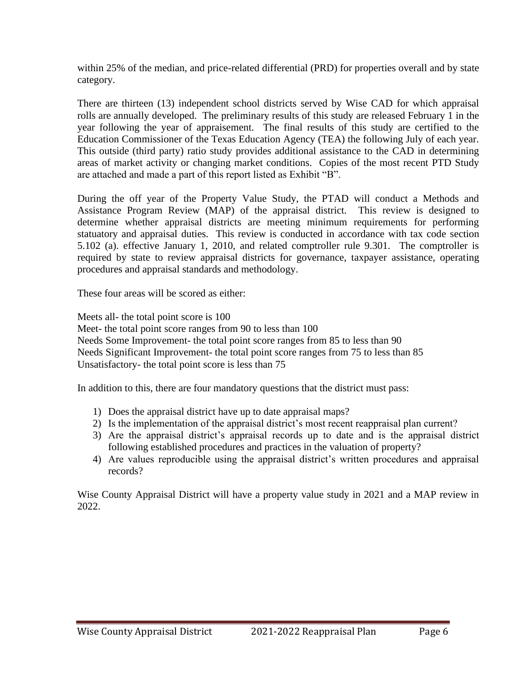within 25% of the median, and price-related differential (PRD) for properties overall and by state category.

There are thirteen (13) independent school districts served by Wise CAD for which appraisal rolls are annually developed. The preliminary results of this study are released February 1 in the year following the year of appraisement. The final results of this study are certified to the Education Commissioner of the Texas Education Agency (TEA) the following July of each year. This outside (third party) ratio study provides additional assistance to the CAD in determining areas of market activity or changing market conditions. Copies of the most recent PTD Study are attached and made a part of this report listed as Exhibit "B".

During the off year of the Property Value Study, the PTAD will conduct a Methods and Assistance Program Review (MAP) of the appraisal district. This review is designed to determine whether appraisal districts are meeting minimum requirements for performing statuatory and appraisal duties. This review is conducted in accordance with tax code section 5.102 (a). effective January 1, 2010, and related comptroller rule 9.301. The comptroller is required by state to review appraisal districts for governance, taxpayer assistance, operating procedures and appraisal standards and methodology.

These four areas will be scored as either:

Meets all- the total point score is 100

Meet- the total point score ranges from 90 to less than 100 Needs Some Improvement- the total point score ranges from 85 to less than 90 Needs Significant Improvement- the total point score ranges from 75 to less than 85 Unsatisfactory- the total point score is less than 75

In addition to this, there are four mandatory questions that the district must pass:

- 1) Does the appraisal district have up to date appraisal maps?
- 2) Is the implementation of the appraisal district's most recent reappraisal plan current?
- 3) Are the appraisal district's appraisal records up to date and is the appraisal district following established procedures and practices in the valuation of property?
- 4) Are values reproducible using the appraisal district's written procedures and appraisal records?

Wise County Appraisal District will have a property value study in 2021 and a MAP review in 2022.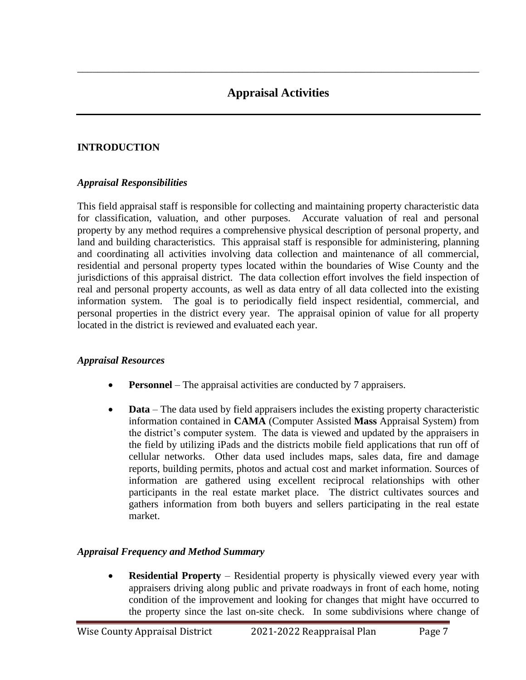\_\_\_\_\_\_\_\_\_\_\_\_\_\_\_\_\_\_\_\_\_\_\_\_\_\_\_\_\_\_\_\_\_\_\_\_\_\_\_\_\_\_\_\_\_\_\_\_\_\_\_\_\_\_\_\_\_\_\_\_\_\_\_\_\_\_\_\_\_\_\_\_\_\_\_\_\_\_

# **INTRODUCTION**

### *Appraisal Responsibilities*

This field appraisal staff is responsible for collecting and maintaining property characteristic data for classification, valuation, and other purposes. Accurate valuation of real and personal property by any method requires a comprehensive physical description of personal property, and land and building characteristics. This appraisal staff is responsible for administering, planning and coordinating all activities involving data collection and maintenance of all commercial, residential and personal property types located within the boundaries of Wise County and the jurisdictions of this appraisal district. The data collection effort involves the field inspection of real and personal property accounts, as well as data entry of all data collected into the existing information system. The goal is to periodically field inspect residential, commercial, and personal properties in the district every year. The appraisal opinion of value for all property located in the district is reviewed and evaluated each year.

### *Appraisal Resources*

- **Personnel** The appraisal activities are conducted by 7 appraisers.
- **Data** The data used by field appraisers includes the existing property characteristic information contained in **CAMA** (Computer Assisted **Mass** Appraisal System) from the district's computer system. The data is viewed and updated by the appraisers in the field by utilizing iPads and the districts mobile field applications that run off of cellular networks. Other data used includes maps, sales data, fire and damage reports, building permits, photos and actual cost and market information. Sources of information are gathered using excellent reciprocal relationships with other participants in the real estate market place. The district cultivates sources and gathers information from both buyers and sellers participating in the real estate market.

### *Appraisal Frequency and Method Summary*

• **Residential Property** – Residential property is physically viewed every year with appraisers driving along public and private roadways in front of each home, noting condition of the improvement and looking for changes that might have occurred to the property since the last on-site check. In some subdivisions where change of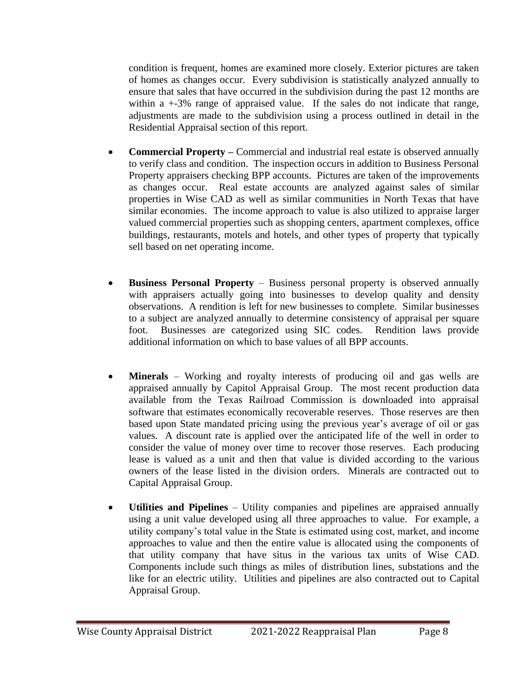condition is frequent, homes are examined more closely. Exterior pictures are taken of homes as changes occur. Every subdivision is statistically analyzed annually to ensure that sales that have occurred in the subdivision during the past 12 months are within a  $+3\%$  range of appraised value. If the sales do not indicate that range, adjustments are made to the subdivision using a process outlined in detail in the Residential Appraisal section of this report.

- **Commercial Property –** Commercial and industrial real estate is observed annually to verify class and condition. The inspection occurs in addition to Business Personal Property appraisers checking BPP accounts. Pictures are taken of the improvements as changes occur. Real estate accounts are analyzed against sales of similar properties in Wise CAD as well as similar communities in North Texas that have similar economies. The income approach to value is also utilized to appraise larger valued commercial properties such as shopping centers, apartment complexes, office buildings, restaurants, motels and hotels, and other types of property that typically sell based on net operating income.
- **Business Personal Property** Business personal property is observed annually with appraisers actually going into businesses to develop quality and density observations. A rendition is left for new businesses to complete. Similar businesses to a subject are analyzed annually to determine consistency of appraisal per square foot. Businesses are categorized using SIC codes. Rendition laws provide additional information on which to base values of all BPP accounts.
- **Minerals** Working and royalty interests of producing oil and gas wells are appraised annually by Capitol Appraisal Group. The most recent production data available from the Texas Railroad Commission is downloaded into appraisal software that estimates economically recoverable reserves. Those reserves are then based upon State mandated pricing using the previous year's average of oil or gas values. A discount rate is applied over the anticipated life of the well in order to consider the value of money over time to recover those reserves. Each producing lease is valued as a unit and then that value is divided according to the various owners of the lease listed in the division orders. Minerals are contracted out to Capital Appraisal Group.
- **Utilities and Pipelines** Utility companies and pipelines are appraised annually using a unit value developed using all three approaches to value. For example, a utility company's total value in the State is estimated using cost, market, and income approaches to value and then the entire value is allocated using the components of that utility company that have situs in the various tax units of Wise CAD. Components include such things as miles of distribution lines, substations and the like for an electric utility. Utilities and pipelines are also contracted out to Capital Appraisal Group.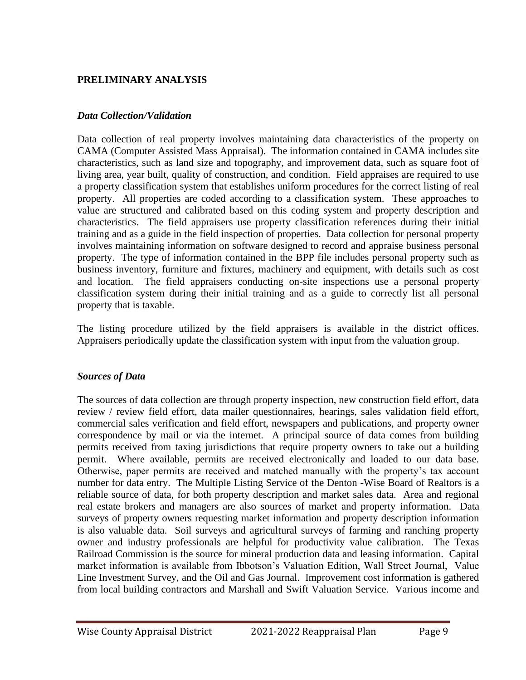## **PRELIMINARY ANALYSIS**

#### *Data Collection/Validation*

Data collection of real property involves maintaining data characteristics of the property on CAMA (Computer Assisted Mass Appraisal). The information contained in CAMA includes site characteristics, such as land size and topography, and improvement data, such as square foot of living area, year built, quality of construction, and condition. Field appraises are required to use a property classification system that establishes uniform procedures for the correct listing of real property. All properties are coded according to a classification system. These approaches to value are structured and calibrated based on this coding system and property description and characteristics. The field appraisers use property classification references during their initial training and as a guide in the field inspection of properties. Data collection for personal property involves maintaining information on software designed to record and appraise business personal property. The type of information contained in the BPP file includes personal property such as business inventory, furniture and fixtures, machinery and equipment, with details such as cost and location. The field appraisers conducting on-site inspections use a personal property classification system during their initial training and as a guide to correctly list all personal property that is taxable.

The listing procedure utilized by the field appraisers is available in the district offices. Appraisers periodically update the classification system with input from the valuation group.

### *Sources of Data*

The sources of data collection are through property inspection, new construction field effort, data review / review field effort, data mailer questionnaires, hearings, sales validation field effort, commercial sales verification and field effort, newspapers and publications, and property owner correspondence by mail or via the internet. A principal source of data comes from building permits received from taxing jurisdictions that require property owners to take out a building permit. Where available, permits are received electronically and loaded to our data base. Otherwise, paper permits are received and matched manually with the property's tax account number for data entry. The Multiple Listing Service of the Denton -Wise Board of Realtors is a reliable source of data, for both property description and market sales data. Area and regional real estate brokers and managers are also sources of market and property information. Data surveys of property owners requesting market information and property description information is also valuable data. Soil surveys and agricultural surveys of farming and ranching property owner and industry professionals are helpful for productivity value calibration. The Texas Railroad Commission is the source for mineral production data and leasing information. Capital market information is available from Ibbotson's Valuation Edition, Wall Street Journal, Value Line Investment Survey, and the Oil and Gas Journal. Improvement cost information is gathered from local building contractors and Marshall and Swift Valuation Service. Various income and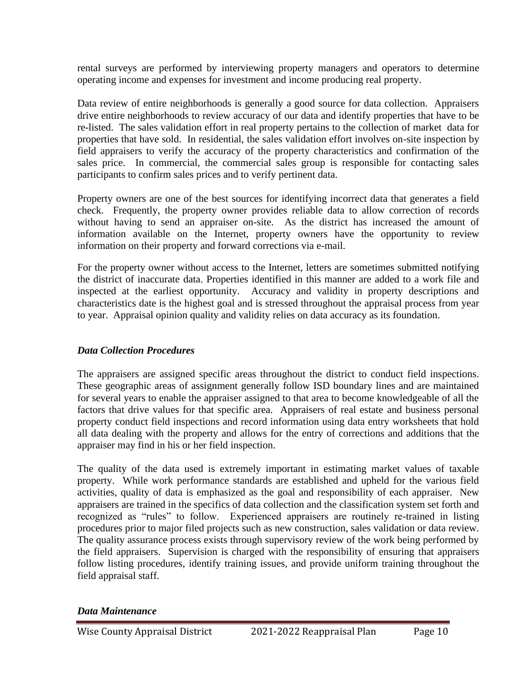rental surveys are performed by interviewing property managers and operators to determine operating income and expenses for investment and income producing real property.

Data review of entire neighborhoods is generally a good source for data collection. Appraisers drive entire neighborhoods to review accuracy of our data and identify properties that have to be re-listed. The sales validation effort in real property pertains to the collection of market data for properties that have sold. In residential, the sales validation effort involves on-site inspection by field appraisers to verify the accuracy of the property characteristics and confirmation of the sales price. In commercial, the commercial sales group is responsible for contacting sales participants to confirm sales prices and to verify pertinent data.

Property owners are one of the best sources for identifying incorrect data that generates a field check. Frequently, the property owner provides reliable data to allow correction of records without having to send an appraiser on-site. As the district has increased the amount of information available on the Internet, property owners have the opportunity to review information on their property and forward corrections via e-mail.

For the property owner without access to the Internet, letters are sometimes submitted notifying the district of inaccurate data. Properties identified in this manner are added to a work file and inspected at the earliest opportunity. Accuracy and validity in property descriptions and characteristics date is the highest goal and is stressed throughout the appraisal process from year to year. Appraisal opinion quality and validity relies on data accuracy as its foundation.

### *Data Collection Procedures*

The appraisers are assigned specific areas throughout the district to conduct field inspections. These geographic areas of assignment generally follow ISD boundary lines and are maintained for several years to enable the appraiser assigned to that area to become knowledgeable of all the factors that drive values for that specific area. Appraisers of real estate and business personal property conduct field inspections and record information using data entry worksheets that hold all data dealing with the property and allows for the entry of corrections and additions that the appraiser may find in his or her field inspection.

The quality of the data used is extremely important in estimating market values of taxable property. While work performance standards are established and upheld for the various field activities, quality of data is emphasized as the goal and responsibility of each appraiser. New appraisers are trained in the specifics of data collection and the classification system set forth and recognized as "rules" to follow. Experienced appraisers are routinely re-trained in listing procedures prior to major filed projects such as new construction, sales validation or data review. The quality assurance process exists through supervisory review of the work being performed by the field appraisers. Supervision is charged with the responsibility of ensuring that appraisers follow listing procedures, identify training issues, and provide uniform training throughout the field appraisal staff.

### *Data Maintenance*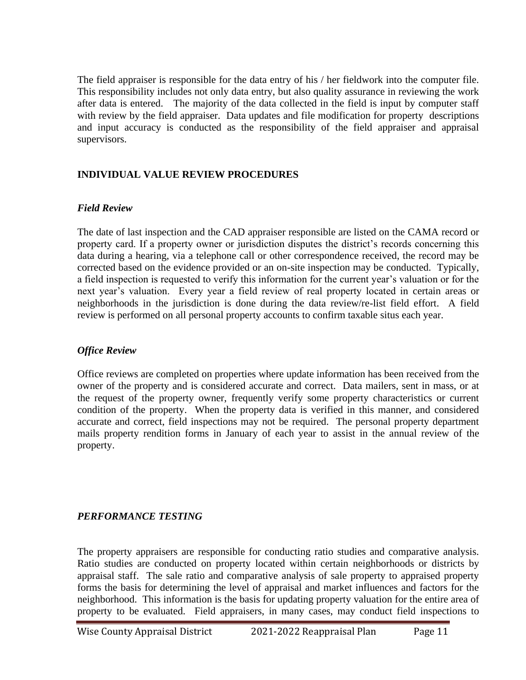The field appraiser is responsible for the data entry of his / her fieldwork into the computer file. This responsibility includes not only data entry, but also quality assurance in reviewing the work after data is entered. The majority of the data collected in the field is input by computer staff with review by the field appraiser. Data updates and file modification for property descriptions and input accuracy is conducted as the responsibility of the field appraiser and appraisal supervisors.

# **INDIVIDUAL VALUE REVIEW PROCEDURES**

#### *Field Review*

The date of last inspection and the CAD appraiser responsible are listed on the CAMA record or property card. If a property owner or jurisdiction disputes the district's records concerning this data during a hearing, via a telephone call or other correspondence received, the record may be corrected based on the evidence provided or an on-site inspection may be conducted. Typically, a field inspection is requested to verify this information for the current year's valuation or for the next year's valuation. Every year a field review of real property located in certain areas or neighborhoods in the jurisdiction is done during the data review/re-list field effort. A field review is performed on all personal property accounts to confirm taxable situs each year.

### *Office Review*

Office reviews are completed on properties where update information has been received from the owner of the property and is considered accurate and correct. Data mailers, sent in mass, or at the request of the property owner, frequently verify some property characteristics or current condition of the property. When the property data is verified in this manner, and considered accurate and correct, field inspections may not be required. The personal property department mails property rendition forms in January of each year to assist in the annual review of the property.

### *PERFORMANCE TESTING*

The property appraisers are responsible for conducting ratio studies and comparative analysis. Ratio studies are conducted on property located within certain neighborhoods or districts by appraisal staff. The sale ratio and comparative analysis of sale property to appraised property forms the basis for determining the level of appraisal and market influences and factors for the neighborhood. This information is the basis for updating property valuation for the entire area of property to be evaluated. Field appraisers, in many cases, may conduct field inspections to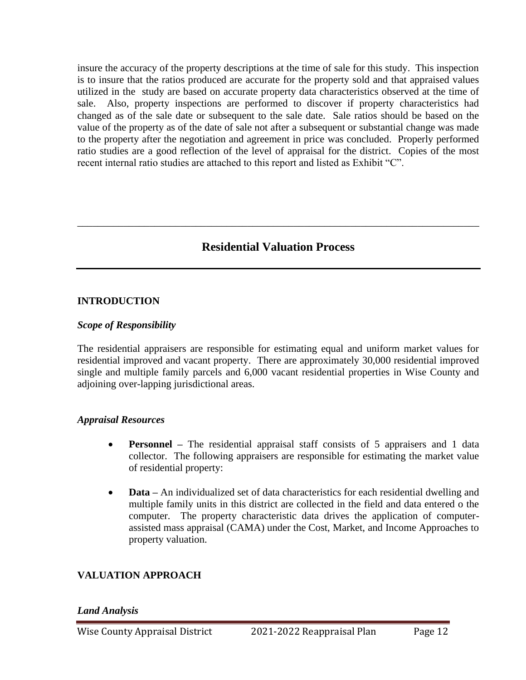insure the accuracy of the property descriptions at the time of sale for this study. This inspection is to insure that the ratios produced are accurate for the property sold and that appraised values utilized in the study are based on accurate property data characteristics observed at the time of sale. Also, property inspections are performed to discover if property characteristics had changed as of the sale date or subsequent to the sale date. Sale ratios should be based on the value of the property as of the date of sale not after a subsequent or substantial change was made to the property after the negotiation and agreement in price was concluded. Properly performed ratio studies are a good reflection of the level of appraisal for the district. Copies of the most recent internal ratio studies are attached to this report and listed as Exhibit "C".

# **Residential Valuation Process**

\_\_\_\_\_\_\_\_\_\_\_\_\_\_\_\_\_\_\_\_\_\_\_\_\_\_\_\_\_\_\_\_\_\_\_\_\_\_\_\_\_\_\_\_\_\_\_\_\_\_\_\_\_\_\_\_\_\_\_\_\_\_\_\_\_\_\_\_\_\_\_\_\_\_\_\_\_\_

#### **INTRODUCTION**

#### *Scope of Responsibility*

The residential appraisers are responsible for estimating equal and uniform market values for residential improved and vacant property. There are approximately 30,000 residential improved single and multiple family parcels and 6,000 vacant residential properties in Wise County and adjoining over-lapping jurisdictional areas.

#### *Appraisal Resources*

- **Personnel** The residential appraisal staff consists of 5 appraisers and 1 data collector. The following appraisers are responsible for estimating the market value of residential property:
- **Data** An individualized set of data characteristics for each residential dwelling and multiple family units in this district are collected in the field and data entered o the computer. The property characteristic data drives the application of computerassisted mass appraisal (CAMA) under the Cost, Market, and Income Approaches to property valuation.

### **VALUATION APPROACH**

#### *Land Analysis*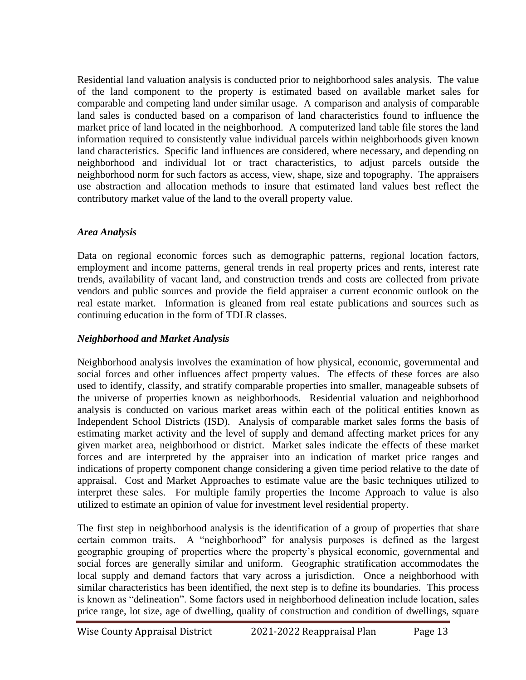Residential land valuation analysis is conducted prior to neighborhood sales analysis. The value of the land component to the property is estimated based on available market sales for comparable and competing land under similar usage. A comparison and analysis of comparable land sales is conducted based on a comparison of land characteristics found to influence the market price of land located in the neighborhood. A computerized land table file stores the land information required to consistently value individual parcels within neighborhoods given known land characteristics. Specific land influences are considered, where necessary, and depending on neighborhood and individual lot or tract characteristics, to adjust parcels outside the neighborhood norm for such factors as access, view, shape, size and topography. The appraisers use abstraction and allocation methods to insure that estimated land values best reflect the contributory market value of the land to the overall property value.

# *Area Analysis*

Data on regional economic forces such as demographic patterns, regional location factors, employment and income patterns, general trends in real property prices and rents, interest rate trends, availability of vacant land, and construction trends and costs are collected from private vendors and public sources and provide the field appraiser a current economic outlook on the real estate market. Information is gleaned from real estate publications and sources such as continuing education in the form of TDLR classes.

# *Neighborhood and Market Analysis*

Neighborhood analysis involves the examination of how physical, economic, governmental and social forces and other influences affect property values. The effects of these forces are also used to identify, classify, and stratify comparable properties into smaller, manageable subsets of the universe of properties known as neighborhoods. Residential valuation and neighborhood analysis is conducted on various market areas within each of the political entities known as Independent School Districts (ISD). Analysis of comparable market sales forms the basis of estimating market activity and the level of supply and demand affecting market prices for any given market area, neighborhood or district. Market sales indicate the effects of these market forces and are interpreted by the appraiser into an indication of market price ranges and indications of property component change considering a given time period relative to the date of appraisal. Cost and Market Approaches to estimate value are the basic techniques utilized to interpret these sales. For multiple family properties the Income Approach to value is also utilized to estimate an opinion of value for investment level residential property.

The first step in neighborhood analysis is the identification of a group of properties that share certain common traits. A "neighborhood" for analysis purposes is defined as the largest geographic grouping of properties where the property's physical economic, governmental and social forces are generally similar and uniform. Geographic stratification accommodates the local supply and demand factors that vary across a jurisdiction. Once a neighborhood with similar characteristics has been identified, the next step is to define its boundaries. This process is known as "delineation". Some factors used in neighborhood delineation include location, sales price range, lot size, age of dwelling, quality of construction and condition of dwellings, square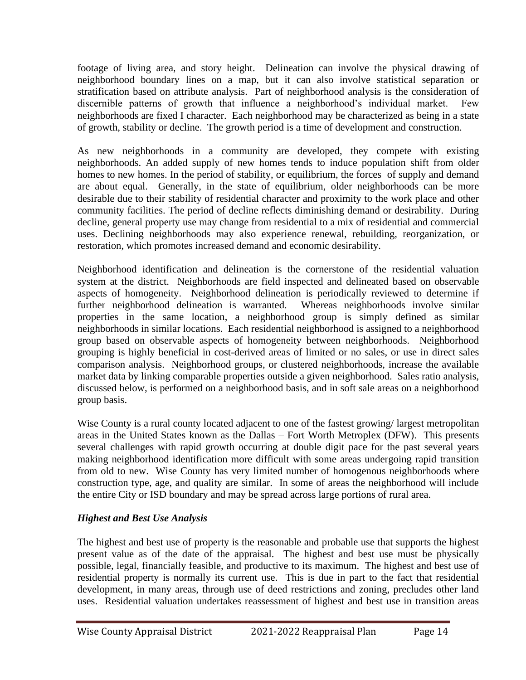footage of living area, and story height. Delineation can involve the physical drawing of neighborhood boundary lines on a map, but it can also involve statistical separation or stratification based on attribute analysis. Part of neighborhood analysis is the consideration of discernible patterns of growth that influence a neighborhood's individual market. Few neighborhoods are fixed I character. Each neighborhood may be characterized as being in a state of growth, stability or decline. The growth period is a time of development and construction.

As new neighborhoods in a community are developed, they compete with existing neighborhoods. An added supply of new homes tends to induce population shift from older homes to new homes. In the period of stability, or equilibrium, the forces of supply and demand are about equal. Generally, in the state of equilibrium, older neighborhoods can be more desirable due to their stability of residential character and proximity to the work place and other community facilities. The period of decline reflects diminishing demand or desirability. During decline, general property use may change from residential to a mix of residential and commercial uses. Declining neighborhoods may also experience renewal, rebuilding, reorganization, or restoration, which promotes increased demand and economic desirability.

Neighborhood identification and delineation is the cornerstone of the residential valuation system at the district. Neighborhoods are field inspected and delineated based on observable aspects of homogeneity. Neighborhood delineation is periodically reviewed to determine if further neighborhood delineation is warranted. Whereas neighborhoods involve similar properties in the same location, a neighborhood group is simply defined as similar neighborhoods in similar locations. Each residential neighborhood is assigned to a neighborhood group based on observable aspects of homogeneity between neighborhoods. Neighborhood grouping is highly beneficial in cost-derived areas of limited or no sales, or use in direct sales comparison analysis. Neighborhood groups, or clustered neighborhoods, increase the available market data by linking comparable properties outside a given neighborhood. Sales ratio analysis, discussed below, is performed on a neighborhood basis, and in soft sale areas on a neighborhood group basis.

Wise County is a rural county located adjacent to one of the fastest growing/ largest metropolitan areas in the United States known as the Dallas – Fort Worth Metroplex (DFW). This presents several challenges with rapid growth occurring at double digit pace for the past several years making neighborhood identification more difficult with some areas undergoing rapid transition from old to new. Wise County has very limited number of homogenous neighborhoods where construction type, age, and quality are similar. In some of areas the neighborhood will include the entire City or ISD boundary and may be spread across large portions of rural area.

# *Highest and Best Use Analysis*

The highest and best use of property is the reasonable and probable use that supports the highest present value as of the date of the appraisal. The highest and best use must be physically possible, legal, financially feasible, and productive to its maximum. The highest and best use of residential property is normally its current use. This is due in part to the fact that residential development, in many areas, through use of deed restrictions and zoning, precludes other land uses. Residential valuation undertakes reassessment of highest and best use in transition areas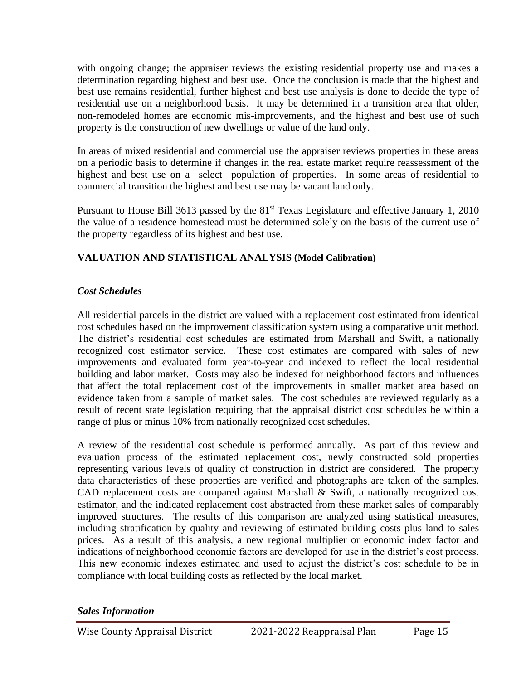with ongoing change; the appraiser reviews the existing residential property use and makes a determination regarding highest and best use. Once the conclusion is made that the highest and best use remains residential, further highest and best use analysis is done to decide the type of residential use on a neighborhood basis. It may be determined in a transition area that older, non-remodeled homes are economic mis-improvements, and the highest and best use of such property is the construction of new dwellings or value of the land only.

In areas of mixed residential and commercial use the appraiser reviews properties in these areas on a periodic basis to determine if changes in the real estate market require reassessment of the highest and best use on a select population of properties. In some areas of residential to commercial transition the highest and best use may be vacant land only.

Pursuant to House Bill 3613 passed by the 81<sup>st</sup> Texas Legislature and effective January 1, 2010 the value of a residence homestead must be determined solely on the basis of the current use of the property regardless of its highest and best use.

# **VALUATION AND STATISTICAL ANALYSIS (Model Calibration)**

## *Cost Schedules*

All residential parcels in the district are valued with a replacement cost estimated from identical cost schedules based on the improvement classification system using a comparative unit method. The district's residential cost schedules are estimated from Marshall and Swift, a nationally recognized cost estimator service. These cost estimates are compared with sales of new improvements and evaluated form year-to-year and indexed to reflect the local residential building and labor market. Costs may also be indexed for neighborhood factors and influences that affect the total replacement cost of the improvements in smaller market area based on evidence taken from a sample of market sales. The cost schedules are reviewed regularly as a result of recent state legislation requiring that the appraisal district cost schedules be within a range of plus or minus 10% from nationally recognized cost schedules.

A review of the residential cost schedule is performed annually. As part of this review and evaluation process of the estimated replacement cost, newly constructed sold properties representing various levels of quality of construction in district are considered. The property data characteristics of these properties are verified and photographs are taken of the samples. CAD replacement costs are compared against Marshall & Swift, a nationally recognized cost estimator, and the indicated replacement cost abstracted from these market sales of comparably improved structures. The results of this comparison are analyzed using statistical measures, including stratification by quality and reviewing of estimated building costs plus land to sales prices. As a result of this analysis, a new regional multiplier or economic index factor and indications of neighborhood economic factors are developed for use in the district's cost process. This new economic indexes estimated and used to adjust the district's cost schedule to be in compliance with local building costs as reflected by the local market.

### *Sales Information*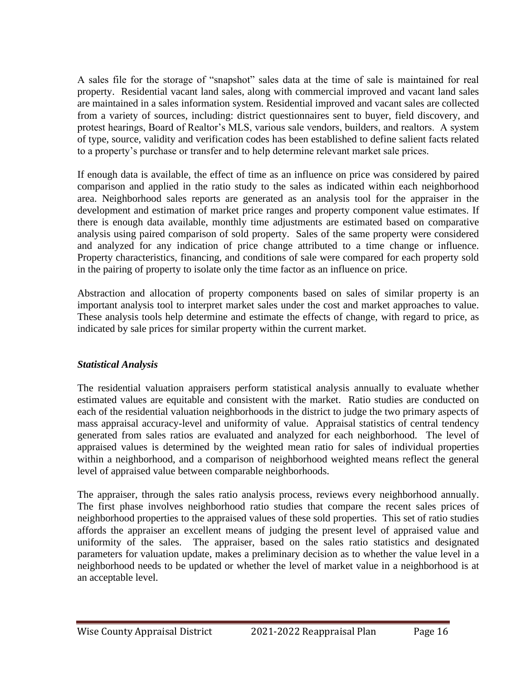A sales file for the storage of "snapshot" sales data at the time of sale is maintained for real property. Residential vacant land sales, along with commercial improved and vacant land sales are maintained in a sales information system. Residential improved and vacant sales are collected from a variety of sources, including: district questionnaires sent to buyer, field discovery, and protest hearings, Board of Realtor's MLS, various sale vendors, builders, and realtors. A system of type, source, validity and verification codes has been established to define salient facts related to a property's purchase or transfer and to help determine relevant market sale prices.

If enough data is available, the effect of time as an influence on price was considered by paired comparison and applied in the ratio study to the sales as indicated within each neighborhood area. Neighborhood sales reports are generated as an analysis tool for the appraiser in the development and estimation of market price ranges and property component value estimates. If there is enough data available, monthly time adjustments are estimated based on comparative analysis using paired comparison of sold property. Sales of the same property were considered and analyzed for any indication of price change attributed to a time change or influence. Property characteristics, financing, and conditions of sale were compared for each property sold in the pairing of property to isolate only the time factor as an influence on price.

Abstraction and allocation of property components based on sales of similar property is an important analysis tool to interpret market sales under the cost and market approaches to value. These analysis tools help determine and estimate the effects of change, with regard to price, as indicated by sale prices for similar property within the current market.

# *Statistical Analysis*

The residential valuation appraisers perform statistical analysis annually to evaluate whether estimated values are equitable and consistent with the market. Ratio studies are conducted on each of the residential valuation neighborhoods in the district to judge the two primary aspects of mass appraisal accuracy-level and uniformity of value. Appraisal statistics of central tendency generated from sales ratios are evaluated and analyzed for each neighborhood. The level of appraised values is determined by the weighted mean ratio for sales of individual properties within a neighborhood, and a comparison of neighborhood weighted means reflect the general level of appraised value between comparable neighborhoods.

The appraiser, through the sales ratio analysis process, reviews every neighborhood annually. The first phase involves neighborhood ratio studies that compare the recent sales prices of neighborhood properties to the appraised values of these sold properties. This set of ratio studies affords the appraiser an excellent means of judging the present level of appraised value and uniformity of the sales. The appraiser, based on the sales ratio statistics and designated parameters for valuation update, makes a preliminary decision as to whether the value level in a neighborhood needs to be updated or whether the level of market value in a neighborhood is at an acceptable level.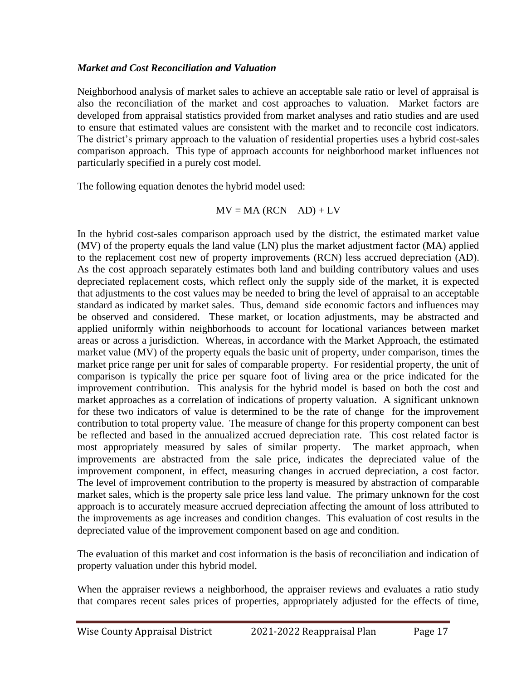#### *Market and Cost Reconciliation and Valuation*

Neighborhood analysis of market sales to achieve an acceptable sale ratio or level of appraisal is also the reconciliation of the market and cost approaches to valuation. Market factors are developed from appraisal statistics provided from market analyses and ratio studies and are used to ensure that estimated values are consistent with the market and to reconcile cost indicators. The district's primary approach to the valuation of residential properties uses a hybrid cost-sales comparison approach. This type of approach accounts for neighborhood market influences not particularly specified in a purely cost model.

The following equation denotes the hybrid model used:

$$
MV = MA (RCN - AD) + LV
$$

In the hybrid cost-sales comparison approach used by the district, the estimated market value (MV) of the property equals the land value (LN) plus the market adjustment factor (MA) applied to the replacement cost new of property improvements (RCN) less accrued depreciation (AD). As the cost approach separately estimates both land and building contributory values and uses depreciated replacement costs, which reflect only the supply side of the market, it is expected that adjustments to the cost values may be needed to bring the level of appraisal to an acceptable standard as indicated by market sales. Thus, demand side economic factors and influences may be observed and considered. These market, or location adjustments, may be abstracted and applied uniformly within neighborhoods to account for locational variances between market areas or across a jurisdiction. Whereas, in accordance with the Market Approach, the estimated market value (MV) of the property equals the basic unit of property, under comparison, times the market price range per unit for sales of comparable property. For residential property, the unit of comparison is typically the price per square foot of living area or the price indicated for the improvement contribution. This analysis for the hybrid model is based on both the cost and market approaches as a correlation of indications of property valuation. A significant unknown for these two indicators of value is determined to be the rate of change for the improvement contribution to total property value. The measure of change for this property component can best be reflected and based in the annualized accrued depreciation rate. This cost related factor is most appropriately measured by sales of similar property. The market approach, when improvements are abstracted from the sale price, indicates the depreciated value of the improvement component, in effect, measuring changes in accrued depreciation, a cost factor. The level of improvement contribution to the property is measured by abstraction of comparable market sales, which is the property sale price less land value. The primary unknown for the cost approach is to accurately measure accrued depreciation affecting the amount of loss attributed to the improvements as age increases and condition changes. This evaluation of cost results in the depreciated value of the improvement component based on age and condition.

The evaluation of this market and cost information is the basis of reconciliation and indication of property valuation under this hybrid model.

When the appraiser reviews a neighborhood, the appraiser reviews and evaluates a ratio study that compares recent sales prices of properties, appropriately adjusted for the effects of time,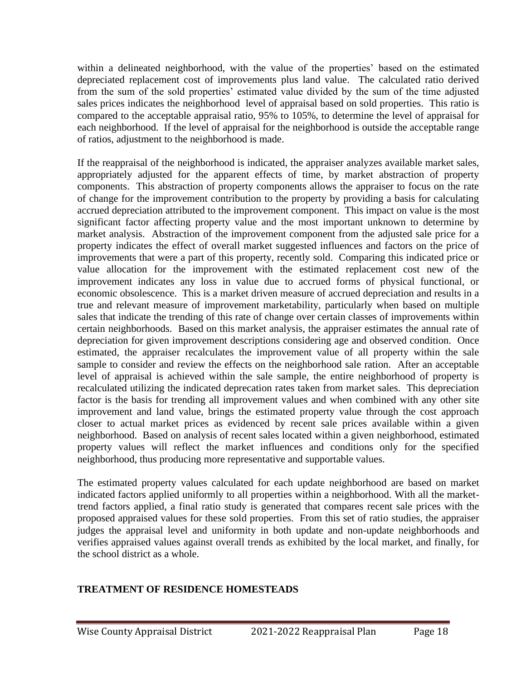within a delineated neighborhood, with the value of the properties' based on the estimated depreciated replacement cost of improvements plus land value. The calculated ratio derived from the sum of the sold properties' estimated value divided by the sum of the time adjusted sales prices indicates the neighborhood level of appraisal based on sold properties. This ratio is compared to the acceptable appraisal ratio, 95% to 105%, to determine the level of appraisal for each neighborhood. If the level of appraisal for the neighborhood is outside the acceptable range of ratios, adjustment to the neighborhood is made.

If the reappraisal of the neighborhood is indicated, the appraiser analyzes available market sales, appropriately adjusted for the apparent effects of time, by market abstraction of property components. This abstraction of property components allows the appraiser to focus on the rate of change for the improvement contribution to the property by providing a basis for calculating accrued depreciation attributed to the improvement component. This impact on value is the most significant factor affecting property value and the most important unknown to determine by market analysis. Abstraction of the improvement component from the adjusted sale price for a property indicates the effect of overall market suggested influences and factors on the price of improvements that were a part of this property, recently sold. Comparing this indicated price or value allocation for the improvement with the estimated replacement cost new of the improvement indicates any loss in value due to accrued forms of physical functional, or economic obsolescence. This is a market driven measure of accrued depreciation and results in a true and relevant measure of improvement marketability, particularly when based on multiple sales that indicate the trending of this rate of change over certain classes of improvements within certain neighborhoods. Based on this market analysis, the appraiser estimates the annual rate of depreciation for given improvement descriptions considering age and observed condition. Once estimated, the appraiser recalculates the improvement value of all property within the sale sample to consider and review the effects on the neighborhood sale ration. After an acceptable level of appraisal is achieved within the sale sample, the entire neighborhood of property is recalculated utilizing the indicated deprecation rates taken from market sales. This depreciation factor is the basis for trending all improvement values and when combined with any other site improvement and land value, brings the estimated property value through the cost approach closer to actual market prices as evidenced by recent sale prices available within a given neighborhood. Based on analysis of recent sales located within a given neighborhood, estimated property values will reflect the market influences and conditions only for the specified neighborhood, thus producing more representative and supportable values.

The estimated property values calculated for each update neighborhood are based on market indicated factors applied uniformly to all properties within a neighborhood. With all the markettrend factors applied, a final ratio study is generated that compares recent sale prices with the proposed appraised values for these sold properties. From this set of ratio studies, the appraiser judges the appraisal level and uniformity in both update and non-update neighborhoods and verifies appraised values against overall trends as exhibited by the local market, and finally, for the school district as a whole.

### **TREATMENT OF RESIDENCE HOMESTEADS**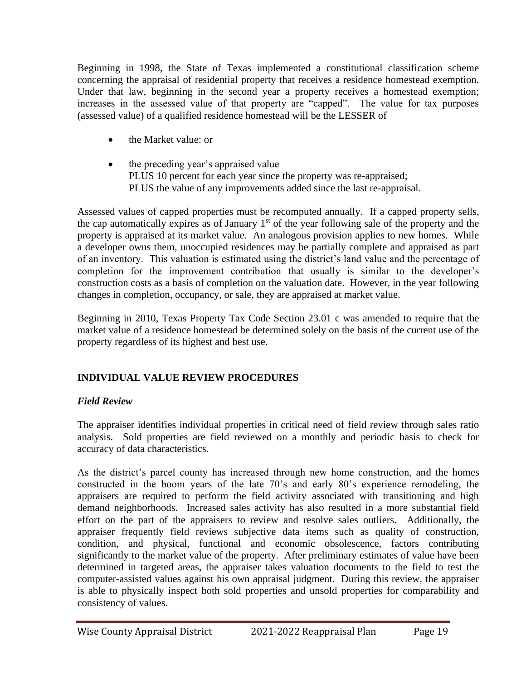Beginning in 1998, the State of Texas implemented a constitutional classification scheme concerning the appraisal of residential property that receives a residence homestead exemption. Under that law, beginning in the second year a property receives a homestead exemption; increases in the assessed value of that property are "capped". The value for tax purposes (assessed value) of a qualified residence homestead will be the LESSER of

- the Market value: or
- the preceding year's appraised value PLUS 10 percent for each year since the property was re-appraised; PLUS the value of any improvements added since the last re-appraisal.

Assessed values of capped properties must be recomputed annually. If a capped property sells, the cap automatically expires as of January  $1<sup>st</sup>$  of the year following sale of the property and the property is appraised at its market value. An analogous provision applies to new homes. While a developer owns them, unoccupied residences may be partially complete and appraised as part of an inventory. This valuation is estimated using the district's land value and the percentage of completion for the improvement contribution that usually is similar to the developer's construction costs as a basis of completion on the valuation date. However, in the year following changes in completion, occupancy, or sale, they are appraised at market value.

Beginning in 2010, Texas Property Tax Code Section 23.01 c was amended to require that the market value of a residence homestead be determined solely on the basis of the current use of the property regardless of its highest and best use.

# **INDIVIDUAL VALUE REVIEW PROCEDURES**

# *Field Review*

The appraiser identifies individual properties in critical need of field review through sales ratio analysis. Sold properties are field reviewed on a monthly and periodic basis to check for accuracy of data characteristics.

As the district's parcel county has increased through new home construction, and the homes constructed in the boom years of the late 70's and early 80's experience remodeling, the appraisers are required to perform the field activity associated with transitioning and high demand neighborhoods. Increased sales activity has also resulted in a more substantial field effort on the part of the appraisers to review and resolve sales outliers. Additionally, the appraiser frequently field reviews subjective data items such as quality of construction, condition, and physical, functional and economic obsolescence, factors contributing significantly to the market value of the property. After preliminary estimates of value have been determined in targeted areas, the appraiser takes valuation documents to the field to test the computer-assisted values against his own appraisal judgment. During this review, the appraiser is able to physically inspect both sold properties and unsold properties for comparability and consistency of values.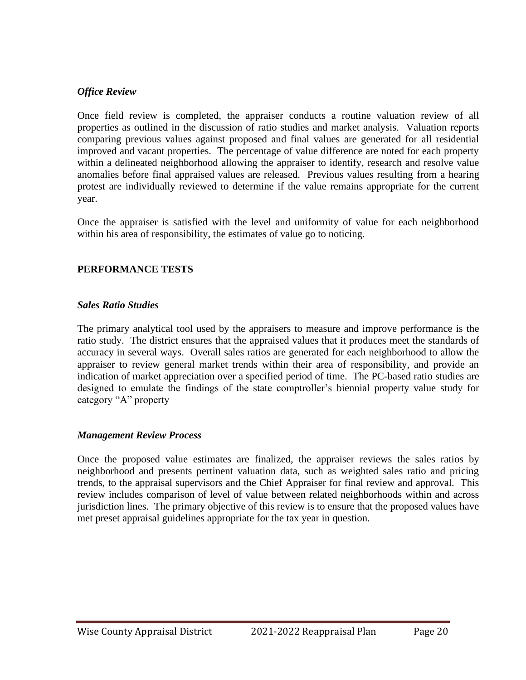### *Office Review*

Once field review is completed, the appraiser conducts a routine valuation review of all properties as outlined in the discussion of ratio studies and market analysis. Valuation reports comparing previous values against proposed and final values are generated for all residential improved and vacant properties. The percentage of value difference are noted for each property within a delineated neighborhood allowing the appraiser to identify, research and resolve value anomalies before final appraised values are released. Previous values resulting from a hearing protest are individually reviewed to determine if the value remains appropriate for the current year.

Once the appraiser is satisfied with the level and uniformity of value for each neighborhood within his area of responsibility, the estimates of value go to noticing.

#### **PERFORMANCE TESTS**

#### *Sales Ratio Studies*

The primary analytical tool used by the appraisers to measure and improve performance is the ratio study. The district ensures that the appraised values that it produces meet the standards of accuracy in several ways. Overall sales ratios are generated for each neighborhood to allow the appraiser to review general market trends within their area of responsibility, and provide an indication of market appreciation over a specified period of time. The PC-based ratio studies are designed to emulate the findings of the state comptroller's biennial property value study for category "A" property

#### *Management Review Process*

Once the proposed value estimates are finalized, the appraiser reviews the sales ratios by neighborhood and presents pertinent valuation data, such as weighted sales ratio and pricing trends, to the appraisal supervisors and the Chief Appraiser for final review and approval. This review includes comparison of level of value between related neighborhoods within and across jurisdiction lines. The primary objective of this review is to ensure that the proposed values have met preset appraisal guidelines appropriate for the tax year in question.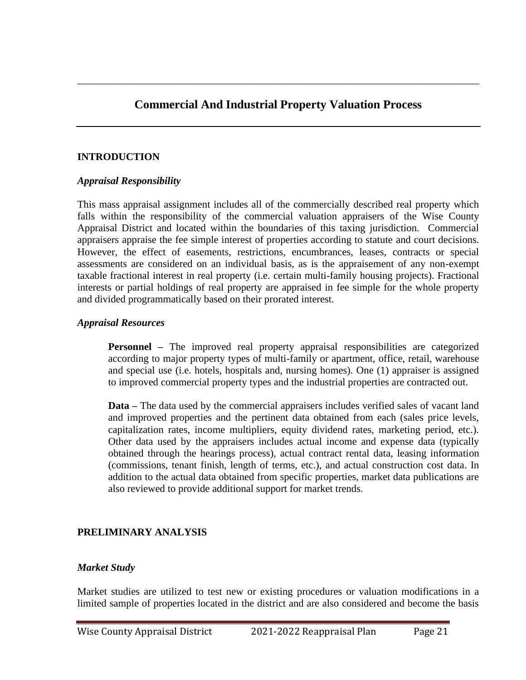# **Commercial And Industrial Property Valuation Process**

\_\_\_\_\_\_\_\_\_\_\_\_\_\_\_\_\_\_\_\_\_\_\_\_\_\_\_\_\_\_\_\_\_\_\_\_\_\_\_\_\_\_\_\_\_\_\_\_\_\_\_\_\_\_\_\_\_\_\_\_\_\_\_\_\_\_\_\_\_\_\_\_\_\_\_\_\_\_

#### **INTRODUCTION**

#### *Appraisal Responsibility*

This mass appraisal assignment includes all of the commercially described real property which falls within the responsibility of the commercial valuation appraisers of the Wise County Appraisal District and located within the boundaries of this taxing jurisdiction. Commercial appraisers appraise the fee simple interest of properties according to statute and court decisions. However, the effect of easements, restrictions, encumbrances, leases, contracts or special assessments are considered on an individual basis, as is the appraisement of any non-exempt taxable fractional interest in real property (i.e. certain multi-family housing projects). Fractional interests or partial holdings of real property are appraised in fee simple for the whole property and divided programmatically based on their prorated interest.

#### *Appraisal Resources*

**Personnel** – The improved real property appraisal responsibilities are categorized according to major property types of multi-family or apartment, office, retail, warehouse and special use (i.e. hotels, hospitals and, nursing homes). One (1) appraiser is assigned to improved commercial property types and the industrial properties are contracted out.

**Data –** The data used by the commercial appraisers includes verified sales of vacant land and improved properties and the pertinent data obtained from each (sales price levels, capitalization rates, income multipliers, equity dividend rates, marketing period, etc.). Other data used by the appraisers includes actual income and expense data (typically obtained through the hearings process), actual contract rental data, leasing information (commissions, tenant finish, length of terms, etc.), and actual construction cost data. In addition to the actual data obtained from specific properties, market data publications are also reviewed to provide additional support for market trends.

#### **PRELIMINARY ANALYSIS**

#### *Market Study*

Market studies are utilized to test new or existing procedures or valuation modifications in a limited sample of properties located in the district and are also considered and become the basis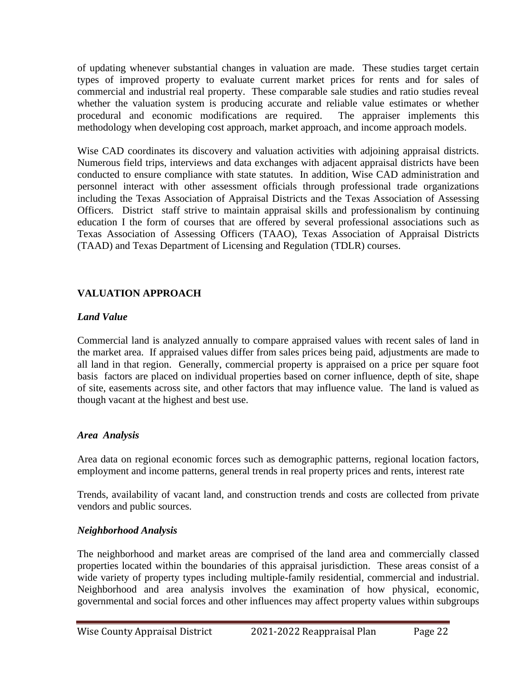of updating whenever substantial changes in valuation are made. These studies target certain types of improved property to evaluate current market prices for rents and for sales of commercial and industrial real property. These comparable sale studies and ratio studies reveal whether the valuation system is producing accurate and reliable value estimates or whether procedural and economic modifications are required. The appraiser implements this methodology when developing cost approach, market approach, and income approach models.

Wise CAD coordinates its discovery and valuation activities with adjoining appraisal districts. Numerous field trips, interviews and data exchanges with adjacent appraisal districts have been conducted to ensure compliance with state statutes. In addition, Wise CAD administration and personnel interact with other assessment officials through professional trade organizations including the Texas Association of Appraisal Districts and the Texas Association of Assessing Officers. District staff strive to maintain appraisal skills and professionalism by continuing education I the form of courses that are offered by several professional associations such as Texas Association of Assessing Officers (TAAO), Texas Association of Appraisal Districts (TAAD) and Texas Department of Licensing and Regulation (TDLR) courses.

# **VALUATION APPROACH**

## *Land Value*

Commercial land is analyzed annually to compare appraised values with recent sales of land in the market area. If appraised values differ from sales prices being paid, adjustments are made to all land in that region. Generally, commercial property is appraised on a price per square foot basis factors are placed on individual properties based on corner influence, depth of site, shape of site, easements across site, and other factors that may influence value. The land is valued as though vacant at the highest and best use.

### *Area Analysis*

Area data on regional economic forces such as demographic patterns, regional location factors, employment and income patterns, general trends in real property prices and rents, interest rate

Trends, availability of vacant land, and construction trends and costs are collected from private vendors and public sources.

### *Neighborhood Analysis*

The neighborhood and market areas are comprised of the land area and commercially classed properties located within the boundaries of this appraisal jurisdiction. These areas consist of a wide variety of property types including multiple-family residential, commercial and industrial. Neighborhood and area analysis involves the examination of how physical, economic, governmental and social forces and other influences may affect property values within subgroups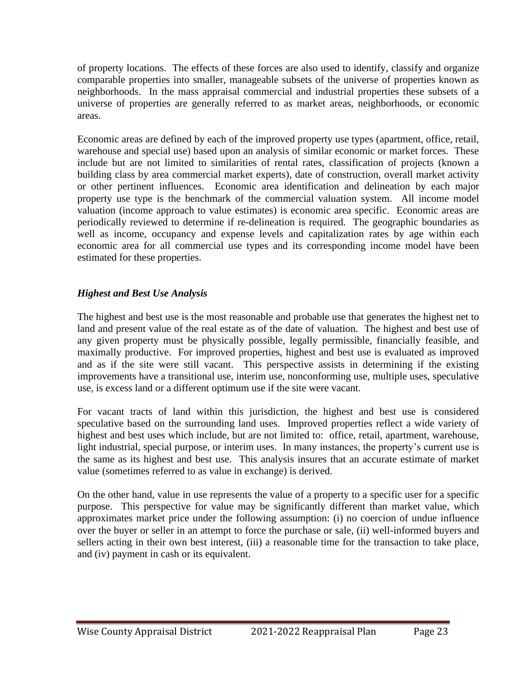of property locations. The effects of these forces are also used to identify, classify and organize comparable properties into smaller, manageable subsets of the universe of properties known as neighborhoods. In the mass appraisal commercial and industrial properties these subsets of a universe of properties are generally referred to as market areas, neighborhoods, or economic areas.

Economic areas are defined by each of the improved property use types (apartment, office, retail, warehouse and special use) based upon an analysis of similar economic or market forces. These include but are not limited to similarities of rental rates, classification of projects (known a building class by area commercial market experts), date of construction, overall market activity or other pertinent influences. Economic area identification and delineation by each major property use type is the benchmark of the commercial valuation system. All income model valuation (income approach to value estimates) is economic area specific. Economic areas are periodically reviewed to determine if re-delineation is required. The geographic boundaries as well as income, occupancy and expense levels and capitalization rates by age within each economic area for all commercial use types and its corresponding income model have been estimated for these properties.

## *Highest and Best Use Analysis*

The highest and best use is the most reasonable and probable use that generates the highest net to land and present value of the real estate as of the date of valuation. The highest and best use of any given property must be physically possible, legally permissible, financially feasible, and maximally productive. For improved properties, highest and best use is evaluated as improved and as if the site were still vacant. This perspective assists in determining if the existing improvements have a transitional use, interim use, nonconforming use, multiple uses, speculative use, is excess land or a different optimum use if the site were vacant.

For vacant tracts of land within this jurisdiction, the highest and best use is considered speculative based on the surrounding land uses. Improved properties reflect a wide variety of highest and best uses which include, but are not limited to: office, retail, apartment, warehouse, light industrial, special purpose, or interim uses. In many instances, the property's current use is the same as its highest and best use. This analysis insures that an accurate estimate of market value (sometimes referred to as value in exchange) is derived.

On the other hand, value in use represents the value of a property to a specific user for a specific purpose. This perspective for value may be significantly different than market value, which approximates market price under the following assumption: (i) no coercion of undue influence over the buyer or seller in an attempt to force the purchase or sale, (ii) well-informed buyers and sellers acting in their own best interest, (iii) a reasonable time for the transaction to take place, and (iv) payment in cash or its equivalent.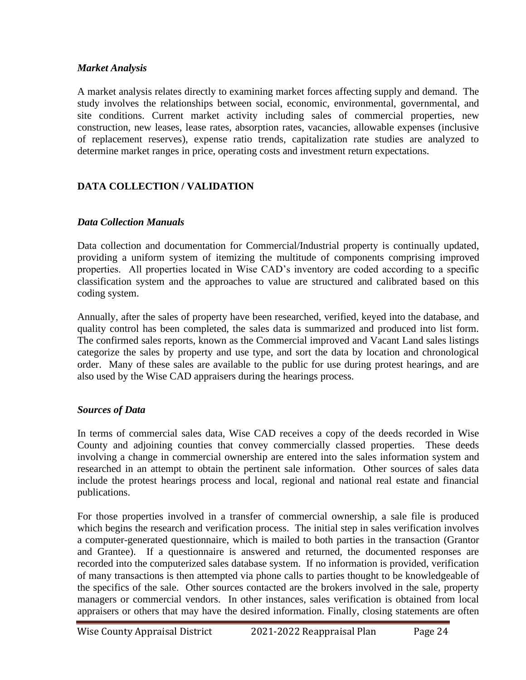### *Market Analysis*

A market analysis relates directly to examining market forces affecting supply and demand. The study involves the relationships between social, economic, environmental, governmental, and site conditions. Current market activity including sales of commercial properties, new construction, new leases, lease rates, absorption rates, vacancies, allowable expenses (inclusive of replacement reserves), expense ratio trends, capitalization rate studies are analyzed to determine market ranges in price, operating costs and investment return expectations.

# **DATA COLLECTION / VALIDATION**

#### *Data Collection Manuals*

Data collection and documentation for Commercial/Industrial property is continually updated, providing a uniform system of itemizing the multitude of components comprising improved properties. All properties located in Wise CAD's inventory are coded according to a specific classification system and the approaches to value are structured and calibrated based on this coding system.

Annually, after the sales of property have been researched, verified, keyed into the database, and quality control has been completed, the sales data is summarized and produced into list form. The confirmed sales reports, known as the Commercial improved and Vacant Land sales listings categorize the sales by property and use type, and sort the data by location and chronological order. Many of these sales are available to the public for use during protest hearings, and are also used by the Wise CAD appraisers during the hearings process.

### *Sources of Data*

In terms of commercial sales data, Wise CAD receives a copy of the deeds recorded in Wise County and adjoining counties that convey commercially classed properties. These deeds involving a change in commercial ownership are entered into the sales information system and researched in an attempt to obtain the pertinent sale information. Other sources of sales data include the protest hearings process and local, regional and national real estate and financial publications.

For those properties involved in a transfer of commercial ownership, a sale file is produced which begins the research and verification process. The initial step in sales verification involves a computer-generated questionnaire, which is mailed to both parties in the transaction (Grantor and Grantee). If a questionnaire is answered and returned, the documented responses are recorded into the computerized sales database system. If no information is provided, verification of many transactions is then attempted via phone calls to parties thought to be knowledgeable of the specifics of the sale. Other sources contacted are the brokers involved in the sale, property managers or commercial vendors. In other instances, sales verification is obtained from local appraisers or others that may have the desired information. Finally, closing statements are often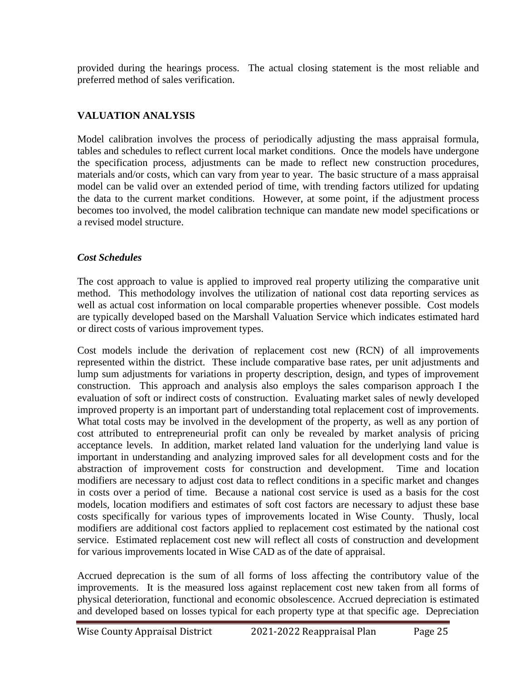provided during the hearings process. The actual closing statement is the most reliable and preferred method of sales verification.

# **VALUATION ANALYSIS**

Model calibration involves the process of periodically adjusting the mass appraisal formula, tables and schedules to reflect current local market conditions. Once the models have undergone the specification process, adjustments can be made to reflect new construction procedures, materials and/or costs, which can vary from year to year. The basic structure of a mass appraisal model can be valid over an extended period of time, with trending factors utilized for updating the data to the current market conditions. However, at some point, if the adjustment process becomes too involved, the model calibration technique can mandate new model specifications or a revised model structure.

## *Cost Schedules*

The cost approach to value is applied to improved real property utilizing the comparative unit method. This methodology involves the utilization of national cost data reporting services as well as actual cost information on local comparable properties whenever possible. Cost models are typically developed based on the Marshall Valuation Service which indicates estimated hard or direct costs of various improvement types.

Cost models include the derivation of replacement cost new (RCN) of all improvements represented within the district. These include comparative base rates, per unit adjustments and lump sum adjustments for variations in property description, design, and types of improvement construction. This approach and analysis also employs the sales comparison approach I the evaluation of soft or indirect costs of construction. Evaluating market sales of newly developed improved property is an important part of understanding total replacement cost of improvements. What total costs may be involved in the development of the property, as well as any portion of cost attributed to entrepreneurial profit can only be revealed by market analysis of pricing acceptance levels. In addition, market related land valuation for the underlying land value is important in understanding and analyzing improved sales for all development costs and for the abstraction of improvement costs for construction and development. Time and location modifiers are necessary to adjust cost data to reflect conditions in a specific market and changes in costs over a period of time. Because a national cost service is used as a basis for the cost models, location modifiers and estimates of soft cost factors are necessary to adjust these base costs specifically for various types of improvements located in Wise County. Thusly, local modifiers are additional cost factors applied to replacement cost estimated by the national cost service. Estimated replacement cost new will reflect all costs of construction and development for various improvements located in Wise CAD as of the date of appraisal.

Accrued deprecation is the sum of all forms of loss affecting the contributory value of the improvements. It is the measured loss against replacement cost new taken from all forms of physical deterioration, functional and economic obsolescence. Accrued depreciation is estimated and developed based on losses typical for each property type at that specific age. Depreciation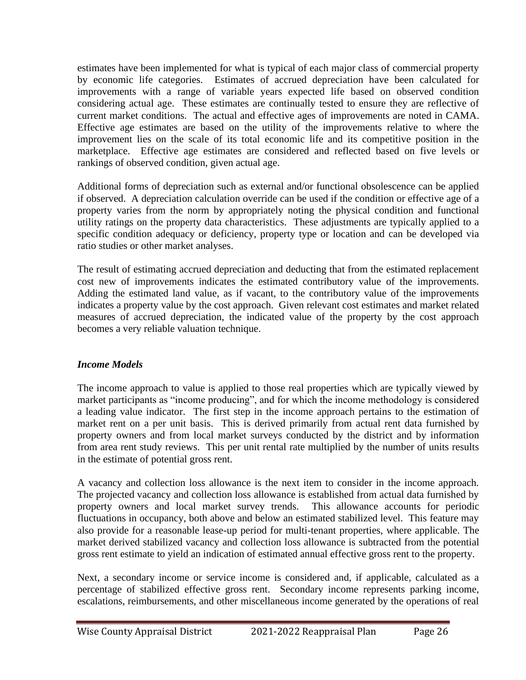estimates have been implemented for what is typical of each major class of commercial property by economic life categories. Estimates of accrued depreciation have been calculated for improvements with a range of variable years expected life based on observed condition considering actual age. These estimates are continually tested to ensure they are reflective of current market conditions. The actual and effective ages of improvements are noted in CAMA. Effective age estimates are based on the utility of the improvements relative to where the improvement lies on the scale of its total economic life and its competitive position in the marketplace. Effective age estimates are considered and reflected based on five levels or rankings of observed condition, given actual age.

Additional forms of depreciation such as external and/or functional obsolescence can be applied if observed. A depreciation calculation override can be used if the condition or effective age of a property varies from the norm by appropriately noting the physical condition and functional utility ratings on the property data characteristics. These adjustments are typically applied to a specific condition adequacy or deficiency, property type or location and can be developed via ratio studies or other market analyses.

The result of estimating accrued depreciation and deducting that from the estimated replacement cost new of improvements indicates the estimated contributory value of the improvements. Adding the estimated land value, as if vacant, to the contributory value of the improvements indicates a property value by the cost approach. Given relevant cost estimates and market related measures of accrued depreciation, the indicated value of the property by the cost approach becomes a very reliable valuation technique.

# *Income Models*

The income approach to value is applied to those real properties which are typically viewed by market participants as "income producing", and for which the income methodology is considered a leading value indicator. The first step in the income approach pertains to the estimation of market rent on a per unit basis. This is derived primarily from actual rent data furnished by property owners and from local market surveys conducted by the district and by information from area rent study reviews. This per unit rental rate multiplied by the number of units results in the estimate of potential gross rent.

A vacancy and collection loss allowance is the next item to consider in the income approach. The projected vacancy and collection loss allowance is established from actual data furnished by property owners and local market survey trends. This allowance accounts for periodic fluctuations in occupancy, both above and below an estimated stabilized level. This feature may also provide for a reasonable lease-up period for multi-tenant properties, where applicable. The market derived stabilized vacancy and collection loss allowance is subtracted from the potential gross rent estimate to yield an indication of estimated annual effective gross rent to the property.

Next, a secondary income or service income is considered and, if applicable, calculated as a percentage of stabilized effective gross rent. Secondary income represents parking income, escalations, reimbursements, and other miscellaneous income generated by the operations of real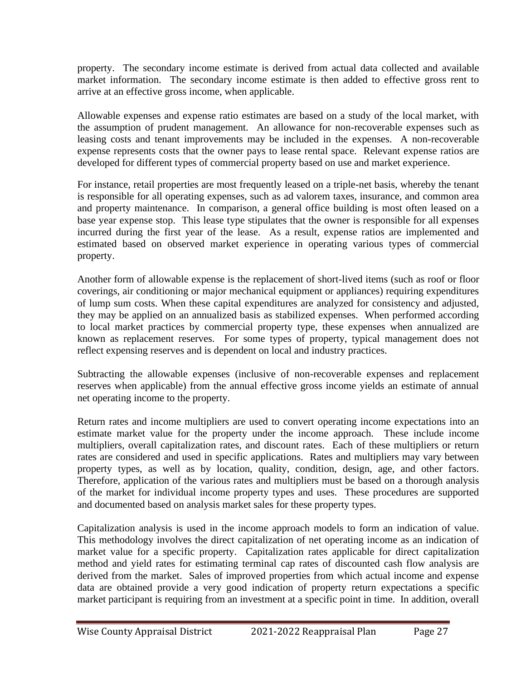property. The secondary income estimate is derived from actual data collected and available market information. The secondary income estimate is then added to effective gross rent to arrive at an effective gross income, when applicable.

Allowable expenses and expense ratio estimates are based on a study of the local market, with the assumption of prudent management. An allowance for non-recoverable expenses such as leasing costs and tenant improvements may be included in the expenses. A non-recoverable expense represents costs that the owner pays to lease rental space. Relevant expense ratios are developed for different types of commercial property based on use and market experience.

For instance, retail properties are most frequently leased on a triple-net basis, whereby the tenant is responsible for all operating expenses, such as ad valorem taxes, insurance, and common area and property maintenance. In comparison, a general office building is most often leased on a base year expense stop. This lease type stipulates that the owner is responsible for all expenses incurred during the first year of the lease. As a result, expense ratios are implemented and estimated based on observed market experience in operating various types of commercial property.

Another form of allowable expense is the replacement of short-lived items (such as roof or floor coverings, air conditioning or major mechanical equipment or appliances) requiring expenditures of lump sum costs. When these capital expenditures are analyzed for consistency and adjusted, they may be applied on an annualized basis as stabilized expenses. When performed according to local market practices by commercial property type, these expenses when annualized are known as replacement reserves. For some types of property, typical management does not reflect expensing reserves and is dependent on local and industry practices.

Subtracting the allowable expenses (inclusive of non-recoverable expenses and replacement reserves when applicable) from the annual effective gross income yields an estimate of annual net operating income to the property.

Return rates and income multipliers are used to convert operating income expectations into an estimate market value for the property under the income approach. These include income multipliers, overall capitalization rates, and discount rates. Each of these multipliers or return rates are considered and used in specific applications. Rates and multipliers may vary between property types, as well as by location, quality, condition, design, age, and other factors. Therefore, application of the various rates and multipliers must be based on a thorough analysis of the market for individual income property types and uses. These procedures are supported and documented based on analysis market sales for these property types.

Capitalization analysis is used in the income approach models to form an indication of value. This methodology involves the direct capitalization of net operating income as an indication of market value for a specific property. Capitalization rates applicable for direct capitalization method and yield rates for estimating terminal cap rates of discounted cash flow analysis are derived from the market. Sales of improved properties from which actual income and expense data are obtained provide a very good indication of property return expectations a specific market participant is requiring from an investment at a specific point in time. In addition, overall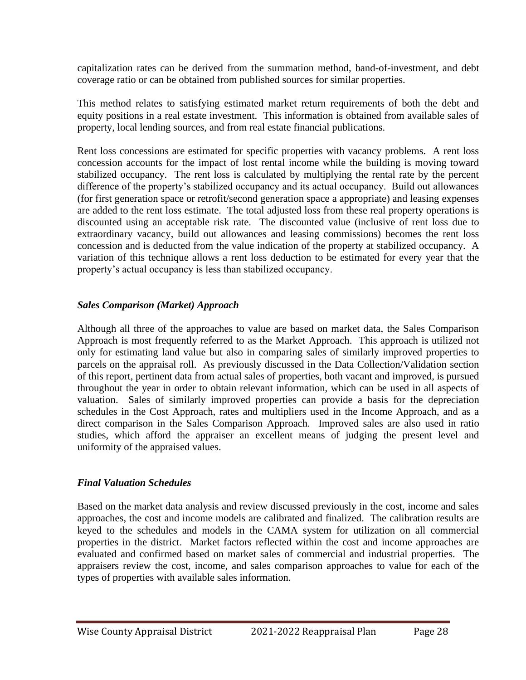capitalization rates can be derived from the summation method, band-of-investment, and debt coverage ratio or can be obtained from published sources for similar properties.

This method relates to satisfying estimated market return requirements of both the debt and equity positions in a real estate investment. This information is obtained from available sales of property, local lending sources, and from real estate financial publications.

Rent loss concessions are estimated for specific properties with vacancy problems. A rent loss concession accounts for the impact of lost rental income while the building is moving toward stabilized occupancy. The rent loss is calculated by multiplying the rental rate by the percent difference of the property's stabilized occupancy and its actual occupancy. Build out allowances (for first generation space or retrofit/second generation space a appropriate) and leasing expenses are added to the rent loss estimate. The total adjusted loss from these real property operations is discounted using an acceptable risk rate. The discounted value (inclusive of rent loss due to extraordinary vacancy, build out allowances and leasing commissions) becomes the rent loss concession and is deducted from the value indication of the property at stabilized occupancy. A variation of this technique allows a rent loss deduction to be estimated for every year that the property's actual occupancy is less than stabilized occupancy.

## *Sales Comparison (Market) Approach*

Although all three of the approaches to value are based on market data, the Sales Comparison Approach is most frequently referred to as the Market Approach. This approach is utilized not only for estimating land value but also in comparing sales of similarly improved properties to parcels on the appraisal roll. As previously discussed in the Data Collection/Validation section of this report, pertinent data from actual sales of properties, both vacant and improved, is pursued throughout the year in order to obtain relevant information, which can be used in all aspects of valuation. Sales of similarly improved properties can provide a basis for the depreciation schedules in the Cost Approach, rates and multipliers used in the Income Approach, and as a direct comparison in the Sales Comparison Approach. Improved sales are also used in ratio studies, which afford the appraiser an excellent means of judging the present level and uniformity of the appraised values.

# *Final Valuation Schedules*

Based on the market data analysis and review discussed previously in the cost, income and sales approaches, the cost and income models are calibrated and finalized. The calibration results are keyed to the schedules and models in the CAMA system for utilization on all commercial properties in the district. Market factors reflected within the cost and income approaches are evaluated and confirmed based on market sales of commercial and industrial properties. The appraisers review the cost, income, and sales comparison approaches to value for each of the types of properties with available sales information.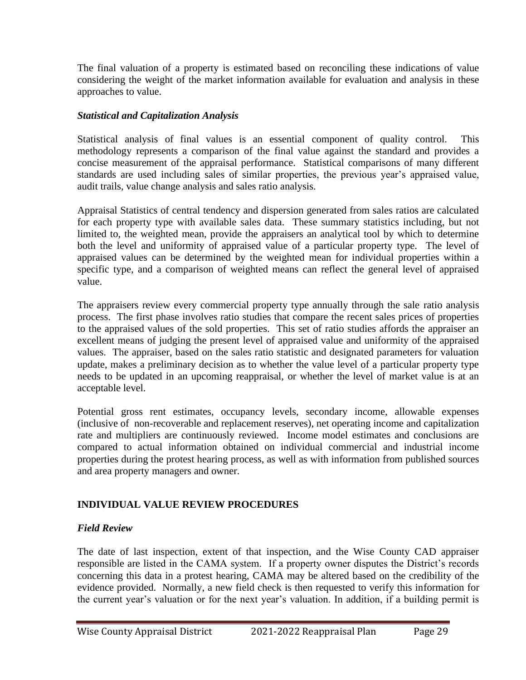The final valuation of a property is estimated based on reconciling these indications of value considering the weight of the market information available for evaluation and analysis in these approaches to value.

### *Statistical and Capitalization Analysis*

Statistical analysis of final values is an essential component of quality control. This methodology represents a comparison of the final value against the standard and provides a concise measurement of the appraisal performance. Statistical comparisons of many different standards are used including sales of similar properties, the previous year's appraised value, audit trails, value change analysis and sales ratio analysis.

Appraisal Statistics of central tendency and dispersion generated from sales ratios are calculated for each property type with available sales data. These summary statistics including, but not limited to, the weighted mean, provide the appraisers an analytical tool by which to determine both the level and uniformity of appraised value of a particular property type. The level of appraised values can be determined by the weighted mean for individual properties within a specific type, and a comparison of weighted means can reflect the general level of appraised value.

The appraisers review every commercial property type annually through the sale ratio analysis process. The first phase involves ratio studies that compare the recent sales prices of properties to the appraised values of the sold properties. This set of ratio studies affords the appraiser an excellent means of judging the present level of appraised value and uniformity of the appraised values. The appraiser, based on the sales ratio statistic and designated parameters for valuation update, makes a preliminary decision as to whether the value level of a particular property type needs to be updated in an upcoming reappraisal, or whether the level of market value is at an acceptable level.

Potential gross rent estimates, occupancy levels, secondary income, allowable expenses (inclusive of non-recoverable and replacement reserves), net operating income and capitalization rate and multipliers are continuously reviewed. Income model estimates and conclusions are compared to actual information obtained on individual commercial and industrial income properties during the protest hearing process, as well as with information from published sources and area property managers and owner.

# **INDIVIDUAL VALUE REVIEW PROCEDURES**

### *Field Review*

The date of last inspection, extent of that inspection, and the Wise County CAD appraiser responsible are listed in the CAMA system. If a property owner disputes the District's records concerning this data in a protest hearing, CAMA may be altered based on the credibility of the evidence provided. Normally, a new field check is then requested to verify this information for the current year's valuation or for the next year's valuation. In addition, if a building permit is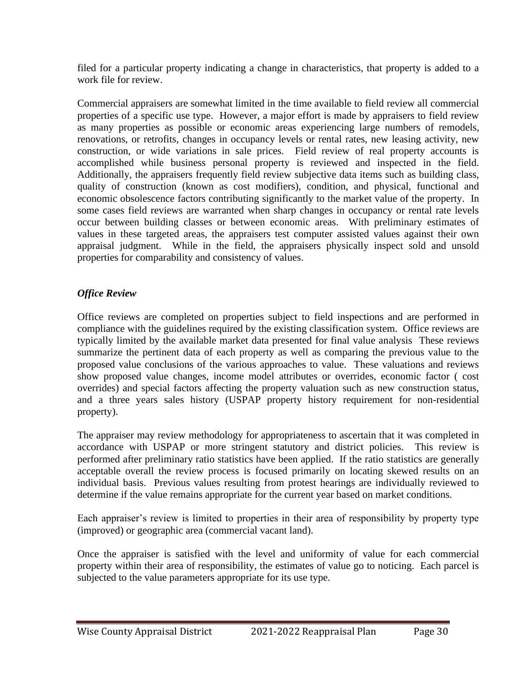filed for a particular property indicating a change in characteristics, that property is added to a work file for review.

Commercial appraisers are somewhat limited in the time available to field review all commercial properties of a specific use type. However, a major effort is made by appraisers to field review as many properties as possible or economic areas experiencing large numbers of remodels, renovations, or retrofits, changes in occupancy levels or rental rates, new leasing activity, new construction, or wide variations in sale prices. Field review of real property accounts is accomplished while business personal property is reviewed and inspected in the field. Additionally, the appraisers frequently field review subjective data items such as building class, quality of construction (known as cost modifiers), condition, and physical, functional and economic obsolescence factors contributing significantly to the market value of the property. In some cases field reviews are warranted when sharp changes in occupancy or rental rate levels occur between building classes or between economic areas. With preliminary estimates of values in these targeted areas, the appraisers test computer assisted values against their own appraisal judgment. While in the field, the appraisers physically inspect sold and unsold properties for comparability and consistency of values.

# *Office Review*

Office reviews are completed on properties subject to field inspections and are performed in compliance with the guidelines required by the existing classification system. Office reviews are typically limited by the available market data presented for final value analysis These reviews summarize the pertinent data of each property as well as comparing the previous value to the proposed value conclusions of the various approaches to value. These valuations and reviews show proposed value changes, income model attributes or overrides, economic factor ( cost overrides) and special factors affecting the property valuation such as new construction status, and a three years sales history (USPAP property history requirement for non-residential property).

The appraiser may review methodology for appropriateness to ascertain that it was completed in accordance with USPAP or more stringent statutory and district policies. This review is performed after preliminary ratio statistics have been applied. If the ratio statistics are generally acceptable overall the review process is focused primarily on locating skewed results on an individual basis. Previous values resulting from protest hearings are individually reviewed to determine if the value remains appropriate for the current year based on market conditions.

Each appraiser's review is limited to properties in their area of responsibility by property type (improved) or geographic area (commercial vacant land).

Once the appraiser is satisfied with the level and uniformity of value for each commercial property within their area of responsibility, the estimates of value go to noticing. Each parcel is subjected to the value parameters appropriate for its use type.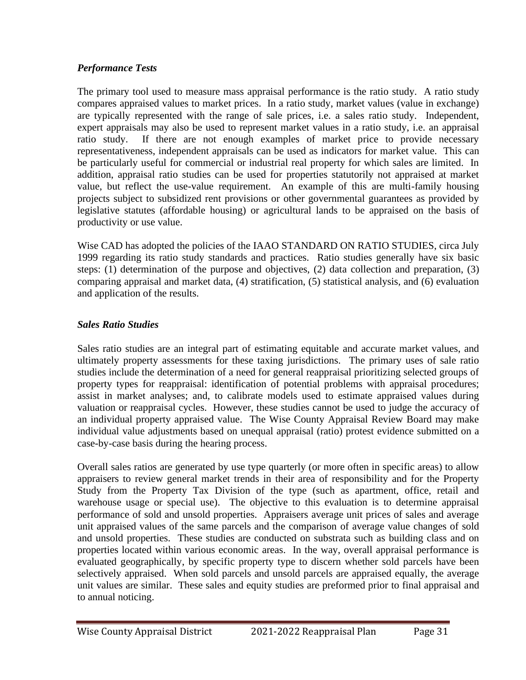## *Performance Tests*

The primary tool used to measure mass appraisal performance is the ratio study. A ratio study compares appraised values to market prices. In a ratio study, market values (value in exchange) are typically represented with the range of sale prices, i.e. a sales ratio study. Independent, expert appraisals may also be used to represent market values in a ratio study, i.e. an appraisal ratio study. If there are not enough examples of market price to provide necessary representativeness, independent appraisals can be used as indicators for market value. This can be particularly useful for commercial or industrial real property for which sales are limited. In addition, appraisal ratio studies can be used for properties statutorily not appraised at market value, but reflect the use-value requirement. An example of this are multi-family housing projects subject to subsidized rent provisions or other governmental guarantees as provided by legislative statutes (affordable housing) or agricultural lands to be appraised on the basis of productivity or use value.

Wise CAD has adopted the policies of the IAAO STANDARD ON RATIO STUDIES, circa July 1999 regarding its ratio study standards and practices. Ratio studies generally have six basic steps: (1) determination of the purpose and objectives, (2) data collection and preparation, (3) comparing appraisal and market data, (4) stratification, (5) statistical analysis, and (6) evaluation and application of the results.

# *Sales Ratio Studies*

Sales ratio studies are an integral part of estimating equitable and accurate market values, and ultimately property assessments for these taxing jurisdictions. The primary uses of sale ratio studies include the determination of a need for general reappraisal prioritizing selected groups of property types for reappraisal: identification of potential problems with appraisal procedures; assist in market analyses; and, to calibrate models used to estimate appraised values during valuation or reappraisal cycles. However, these studies cannot be used to judge the accuracy of an individual property appraised value. The Wise County Appraisal Review Board may make individual value adjustments based on unequal appraisal (ratio) protest evidence submitted on a case-by-case basis during the hearing process.

Overall sales ratios are generated by use type quarterly (or more often in specific areas) to allow appraisers to review general market trends in their area of responsibility and for the Property Study from the Property Tax Division of the type (such as apartment, office, retail and warehouse usage or special use). The objective to this evaluation is to determine appraisal performance of sold and unsold properties. Appraisers average unit prices of sales and average unit appraised values of the same parcels and the comparison of average value changes of sold and unsold properties. These studies are conducted on substrata such as building class and on properties located within various economic areas. In the way, overall appraisal performance is evaluated geographically, by specific property type to discern whether sold parcels have been selectively appraised. When sold parcels and unsold parcels are appraised equally, the average unit values are similar. These sales and equity studies are preformed prior to final appraisal and to annual noticing.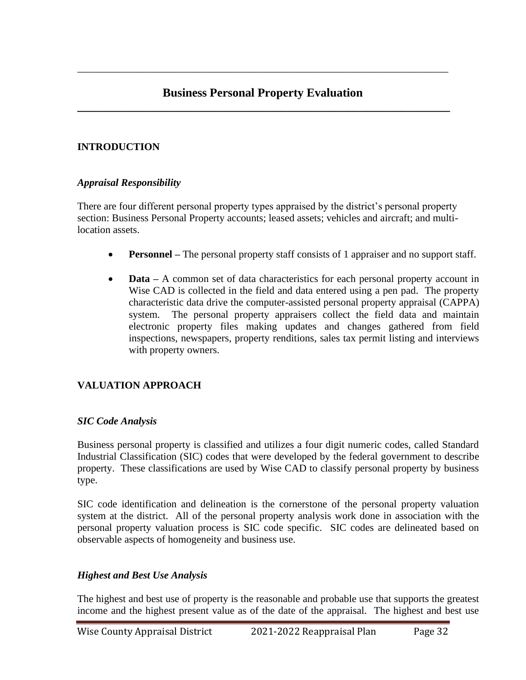# **Business Personal Property Evaluation \_\_\_\_\_\_\_\_\_\_\_\_\_\_\_\_\_\_\_\_\_\_\_\_\_\_\_\_\_\_\_\_\_\_\_\_\_\_\_\_\_\_\_\_\_\_\_\_\_\_\_\_\_\_\_\_\_\_\_\_\_\_**

\_\_\_\_\_\_\_\_\_\_\_\_\_\_\_\_\_\_\_\_\_\_\_\_\_\_\_\_\_\_\_\_\_\_\_\_\_\_\_\_\_\_\_\_\_\_\_\_\_\_\_\_\_\_\_\_\_\_\_\_\_\_\_\_\_\_\_\_\_\_\_\_

## **INTRODUCTION**

#### *Appraisal Responsibility*

There are four different personal property types appraised by the district's personal property section: Business Personal Property accounts; leased assets; vehicles and aircraft; and multilocation assets.

- **Personnel** The personal property staff consists of 1 appraiser and no support staff.
- **Data** A common set of data characteristics for each personal property account in Wise CAD is collected in the field and data entered using a pen pad. The property characteristic data drive the computer-assisted personal property appraisal (CAPPA) system. The personal property appraisers collect the field data and maintain electronic property files making updates and changes gathered from field inspections, newspapers, property renditions, sales tax permit listing and interviews with property owners.

### **VALUATION APPROACH**

#### *SIC Code Analysis*

Business personal property is classified and utilizes a four digit numeric codes, called Standard Industrial Classification (SIC) codes that were developed by the federal government to describe property. These classifications are used by Wise CAD to classify personal property by business type.

SIC code identification and delineation is the cornerstone of the personal property valuation system at the district. All of the personal property analysis work done in association with the personal property valuation process is SIC code specific. SIC codes are delineated based on observable aspects of homogeneity and business use.

#### *Highest and Best Use Analysis*

The highest and best use of property is the reasonable and probable use that supports the greatest income and the highest present value as of the date of the appraisal. The highest and best use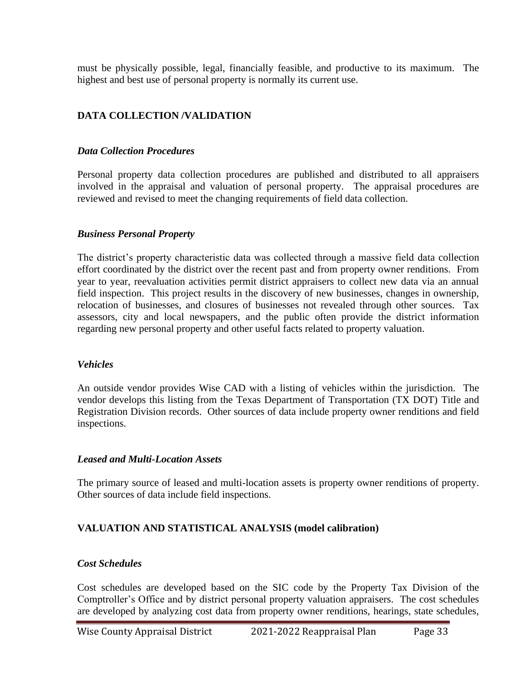must be physically possible, legal, financially feasible, and productive to its maximum. The highest and best use of personal property is normally its current use.

## **DATA COLLECTION /VALIDATION**

#### *Data Collection Procedures*

Personal property data collection procedures are published and distributed to all appraisers involved in the appraisal and valuation of personal property. The appraisal procedures are reviewed and revised to meet the changing requirements of field data collection.

#### *Business Personal Property*

The district's property characteristic data was collected through a massive field data collection effort coordinated by the district over the recent past and from property owner renditions. From year to year, reevaluation activities permit district appraisers to collect new data via an annual field inspection. This project results in the discovery of new businesses, changes in ownership, relocation of businesses, and closures of businesses not revealed through other sources. Tax assessors, city and local newspapers, and the public often provide the district information regarding new personal property and other useful facts related to property valuation.

#### *Vehicles*

An outside vendor provides Wise CAD with a listing of vehicles within the jurisdiction. The vendor develops this listing from the Texas Department of Transportation (TX DOT) Title and Registration Division records. Other sources of data include property owner renditions and field inspections.

#### *Leased and Multi-Location Assets*

The primary source of leased and multi-location assets is property owner renditions of property. Other sources of data include field inspections.

### **VALUATION AND STATISTICAL ANALYSIS (model calibration)**

#### *Cost Schedules*

Cost schedules are developed based on the SIC code by the Property Tax Division of the Comptroller's Office and by district personal property valuation appraisers. The cost schedules are developed by analyzing cost data from property owner renditions, hearings, state schedules,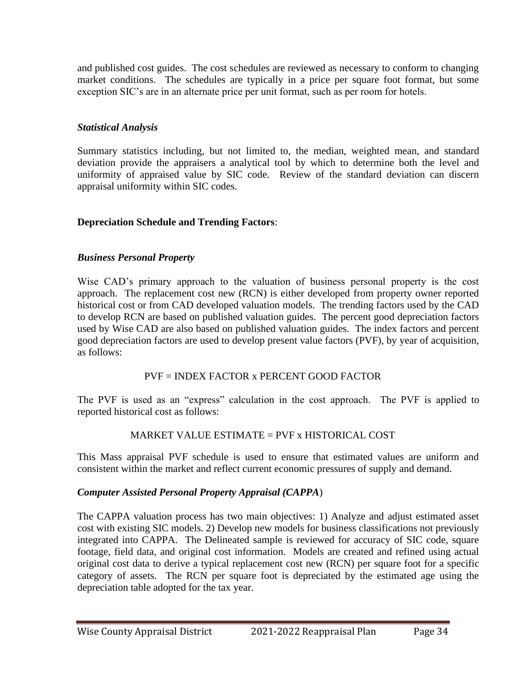and published cost guides. The cost schedules are reviewed as necessary to conform to changing market conditions. The schedules are typically in a price per square foot format, but some exception SIC's are in an alternate price per unit format, such as per room for hotels.

# *Statistical Analysis*

Summary statistics including, but not limited to, the median, weighted mean, and standard deviation provide the appraisers a analytical tool by which to determine both the level and uniformity of appraised value by SIC code. Review of the standard deviation can discern appraisal uniformity within SIC codes.

# **Depreciation Schedule and Trending Factors**:

# *Business Personal Property*

Wise CAD's primary approach to the valuation of business personal property is the cost approach. The replacement cost new (RCN) is either developed from property owner reported historical cost or from CAD developed valuation models. The trending factors used by the CAD to develop RCN are based on published valuation guides. The percent good depreciation factors used by Wise CAD are also based on published valuation guides. The index factors and percent good depreciation factors are used to develop present value factors (PVF), by year of acquisition, as follows:

# PVF = INDEX FACTOR x PERCENT GOOD FACTOR

The PVF is used as an "express" calculation in the cost approach. The PVF is applied to reported historical cost as follows:

# MARKET VALUE ESTIMATE = PVF x HISTORICAL COST

This Mass appraisal PVF schedule is used to ensure that estimated values are uniform and consistent within the market and reflect current economic pressures of supply and demand.

# *Computer Assisted Personal Property Appraisal (CAPPA*)

The CAPPA valuation process has two main objectives: 1) Analyze and adjust estimated asset cost with existing SIC models. 2) Develop new models for business classifications not previously integrated into CAPPA. The Delineated sample is reviewed for accuracy of SIC code, square footage, field data, and original cost information. Models are created and refined using actual original cost data to derive a typical replacement cost new (RCN) per square foot for a specific category of assets. The RCN per square foot is depreciated by the estimated age using the depreciation table adopted for the tax year.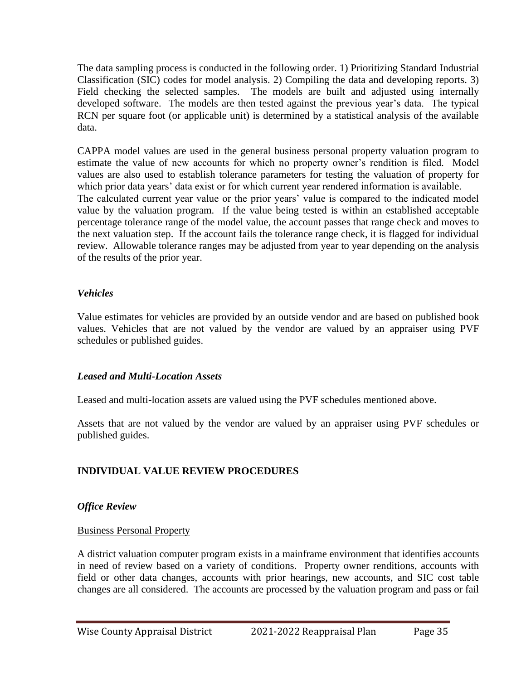The data sampling process is conducted in the following order. 1) Prioritizing Standard Industrial Classification (SIC) codes for model analysis. 2) Compiling the data and developing reports. 3) Field checking the selected samples. The models are built and adjusted using internally developed software. The models are then tested against the previous year's data. The typical RCN per square foot (or applicable unit) is determined by a statistical analysis of the available data.

CAPPA model values are used in the general business personal property valuation program to estimate the value of new accounts for which no property owner's rendition is filed. Model values are also used to establish tolerance parameters for testing the valuation of property for which prior data years' data exist or for which current year rendered information is available. The calculated current year value or the prior years' value is compared to the indicated model value by the valuation program. If the value being tested is within an established acceptable percentage tolerance range of the model value, the account passes that range check and moves to the next valuation step. If the account fails the tolerance range check, it is flagged for individual review. Allowable tolerance ranges may be adjusted from year to year depending on the analysis of the results of the prior year.

### *Vehicles*

Value estimates for vehicles are provided by an outside vendor and are based on published book values. Vehicles that are not valued by the vendor are valued by an appraiser using PVF schedules or published guides.

# *Leased and Multi-Location Assets*

Leased and multi-location assets are valued using the PVF schedules mentioned above.

Assets that are not valued by the vendor are valued by an appraiser using PVF schedules or published guides.

# **INDIVIDUAL VALUE REVIEW PROCEDURES**

# *Office Review*

# Business Personal Property

A district valuation computer program exists in a mainframe environment that identifies accounts in need of review based on a variety of conditions. Property owner renditions, accounts with field or other data changes, accounts with prior hearings, new accounts, and SIC cost table changes are all considered. The accounts are processed by the valuation program and pass or fail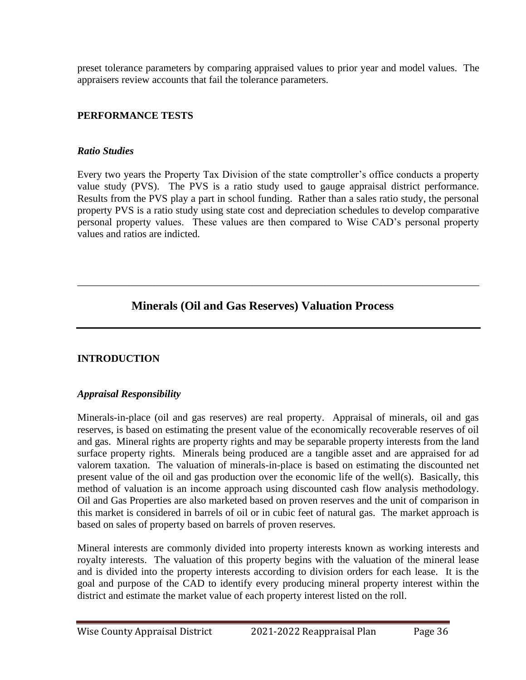preset tolerance parameters by comparing appraised values to prior year and model values. The appraisers review accounts that fail the tolerance parameters.

# **PERFORMANCE TESTS**

## *Ratio Studies*

Every two years the Property Tax Division of the state comptroller's office conducts a property value study (PVS). The PVS is a ratio study used to gauge appraisal district performance. Results from the PVS play a part in school funding. Rather than a sales ratio study, the personal property PVS is a ratio study using state cost and depreciation schedules to develop comparative personal property values. These values are then compared to Wise CAD's personal property values and ratios are indicted.

\_\_\_\_\_\_\_\_\_\_\_\_\_\_\_\_\_\_\_\_\_\_\_\_\_\_\_\_\_\_\_\_\_\_\_\_\_\_\_\_\_\_\_\_\_\_\_\_\_\_\_\_\_\_\_\_\_\_\_\_\_\_\_\_\_\_\_\_\_\_\_\_\_\_\_\_\_\_

# **Minerals (Oil and Gas Reserves) Valuation Process**

# **INTRODUCTION**

# *Appraisal Responsibility*

Minerals-in-place (oil and gas reserves) are real property. Appraisal of minerals, oil and gas reserves, is based on estimating the present value of the economically recoverable reserves of oil and gas. Mineral rights are property rights and may be separable property interests from the land surface property rights. Minerals being produced are a tangible asset and are appraised for ad valorem taxation. The valuation of minerals-in-place is based on estimating the discounted net present value of the oil and gas production over the economic life of the well(s). Basically, this method of valuation is an income approach using discounted cash flow analysis methodology. Oil and Gas Properties are also marketed based on proven reserves and the unit of comparison in this market is considered in barrels of oil or in cubic feet of natural gas. The market approach is based on sales of property based on barrels of proven reserves.

Mineral interests are commonly divided into property interests known as working interests and royalty interests. The valuation of this property begins with the valuation of the mineral lease and is divided into the property interests according to division orders for each lease. It is the goal and purpose of the CAD to identify every producing mineral property interest within the district and estimate the market value of each property interest listed on the roll.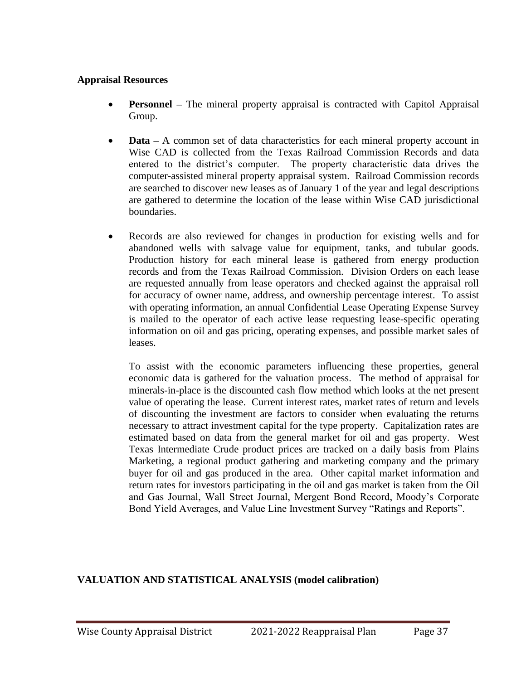#### **Appraisal Resources**

- **Personnel** The mineral property appraisal is contracted with Capitol Appraisal Group.
- **Data** A common set of data characteristics for each mineral property account in Wise CAD is collected from the Texas Railroad Commission Records and data entered to the district's computer. The property characteristic data drives the computer-assisted mineral property appraisal system. Railroad Commission records are searched to discover new leases as of January 1 of the year and legal descriptions are gathered to determine the location of the lease within Wise CAD jurisdictional boundaries.
- Records are also reviewed for changes in production for existing wells and for abandoned wells with salvage value for equipment, tanks, and tubular goods. Production history for each mineral lease is gathered from energy production records and from the Texas Railroad Commission. Division Orders on each lease are requested annually from lease operators and checked against the appraisal roll for accuracy of owner name, address, and ownership percentage interest. To assist with operating information, an annual Confidential Lease Operating Expense Survey is mailed to the operator of each active lease requesting lease-specific operating information on oil and gas pricing, operating expenses, and possible market sales of leases.

To assist with the economic parameters influencing these properties, general economic data is gathered for the valuation process. The method of appraisal for minerals-in-place is the discounted cash flow method which looks at the net present value of operating the lease. Current interest rates, market rates of return and levels of discounting the investment are factors to consider when evaluating the returns necessary to attract investment capital for the type property. Capitalization rates are estimated based on data from the general market for oil and gas property. West Texas Intermediate Crude product prices are tracked on a daily basis from Plains Marketing, a regional product gathering and marketing company and the primary buyer for oil and gas produced in the area. Other capital market information and return rates for investors participating in the oil and gas market is taken from the Oil and Gas Journal, Wall Street Journal, Mergent Bond Record, Moody's Corporate Bond Yield Averages, and Value Line Investment Survey "Ratings and Reports".

### **VALUATION AND STATISTICAL ANALYSIS (model calibration)**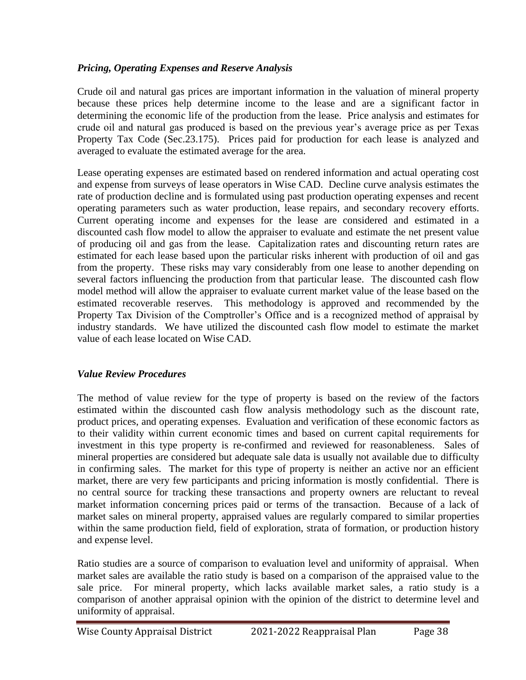# *Pricing, Operating Expenses and Reserve Analysis*

Crude oil and natural gas prices are important information in the valuation of mineral property because these prices help determine income to the lease and are a significant factor in determining the economic life of the production from the lease. Price analysis and estimates for crude oil and natural gas produced is based on the previous year's average price as per Texas Property Tax Code (Sec.23.175). Prices paid for production for each lease is analyzed and averaged to evaluate the estimated average for the area.

Lease operating expenses are estimated based on rendered information and actual operating cost and expense from surveys of lease operators in Wise CAD. Decline curve analysis estimates the rate of production decline and is formulated using past production operating expenses and recent operating parameters such as water production, lease repairs, and secondary recovery efforts. Current operating income and expenses for the lease are considered and estimated in a discounted cash flow model to allow the appraiser to evaluate and estimate the net present value of producing oil and gas from the lease. Capitalization rates and discounting return rates are estimated for each lease based upon the particular risks inherent with production of oil and gas from the property. These risks may vary considerably from one lease to another depending on several factors influencing the production from that particular lease. The discounted cash flow model method will allow the appraiser to evaluate current market value of the lease based on the estimated recoverable reserves. This methodology is approved and recommended by the Property Tax Division of the Comptroller's Office and is a recognized method of appraisal by industry standards. We have utilized the discounted cash flow model to estimate the market value of each lease located on Wise CAD.

### *Value Review Procedures*

The method of value review for the type of property is based on the review of the factors estimated within the discounted cash flow analysis methodology such as the discount rate, product prices, and operating expenses. Evaluation and verification of these economic factors as to their validity within current economic times and based on current capital requirements for investment in this type property is re-confirmed and reviewed for reasonableness. Sales of mineral properties are considered but adequate sale data is usually not available due to difficulty in confirming sales. The market for this type of property is neither an active nor an efficient market, there are very few participants and pricing information is mostly confidential. There is no central source for tracking these transactions and property owners are reluctant to reveal market information concerning prices paid or terms of the transaction. Because of a lack of market sales on mineral property, appraised values are regularly compared to similar properties within the same production field, field of exploration, strata of formation, or production history and expense level.

Ratio studies are a source of comparison to evaluation level and uniformity of appraisal. When market sales are available the ratio study is based on a comparison of the appraised value to the sale price. For mineral property, which lacks available market sales, a ratio study is a comparison of another appraisal opinion with the opinion of the district to determine level and uniformity of appraisal.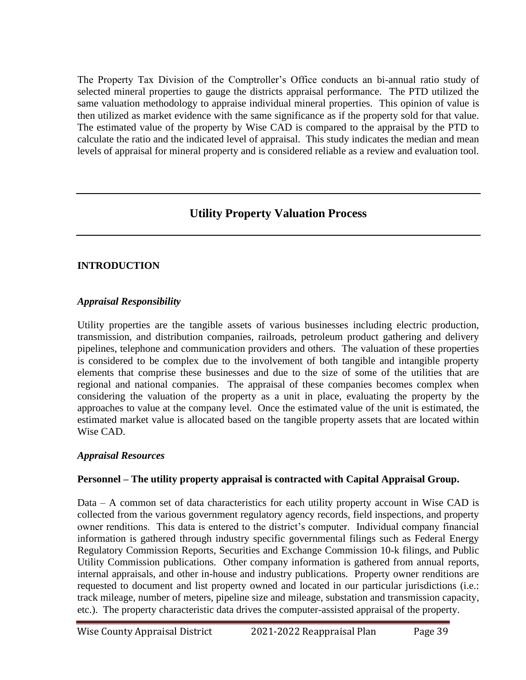The Property Tax Division of the Comptroller's Office conducts an bi-annual ratio study of selected mineral properties to gauge the districts appraisal performance. The PTD utilized the same valuation methodology to appraise individual mineral properties. This opinion of value is then utilized as market evidence with the same significance as if the property sold for that value. The estimated value of the property by Wise CAD is compared to the appraisal by the PTD to calculate the ratio and the indicated level of appraisal. This study indicates the median and mean levels of appraisal for mineral property and is considered reliable as a review and evaluation tool.

# **Utility Property Valuation Process**

## **INTRODUCTION**

### *Appraisal Responsibility*

Utility properties are the tangible assets of various businesses including electric production, transmission, and distribution companies, railroads, petroleum product gathering and delivery pipelines, telephone and communication providers and others. The valuation of these properties is considered to be complex due to the involvement of both tangible and intangible property elements that comprise these businesses and due to the size of some of the utilities that are regional and national companies. The appraisal of these companies becomes complex when considering the valuation of the property as a unit in place, evaluating the property by the approaches to value at the company level. Once the estimated value of the unit is estimated, the estimated market value is allocated based on the tangible property assets that are located within Wise CAD.

### *Appraisal Resources*

# **Personnel – The utility property appraisal is contracted with Capital Appraisal Group.**

Data – A common set of data characteristics for each utility property account in Wise CAD is collected from the various government regulatory agency records, field inspections, and property owner renditions. This data is entered to the district's computer. Individual company financial information is gathered through industry specific governmental filings such as Federal Energy Regulatory Commission Reports, Securities and Exchange Commission 10-k filings, and Public Utility Commission publications. Other company information is gathered from annual reports, internal appraisals, and other in-house and industry publications. Property owner renditions are requested to document and list property owned and located in our particular jurisdictions (i.e.: track mileage, number of meters, pipeline size and mileage, substation and transmission capacity, etc.). The property characteristic data drives the computer-assisted appraisal of the property.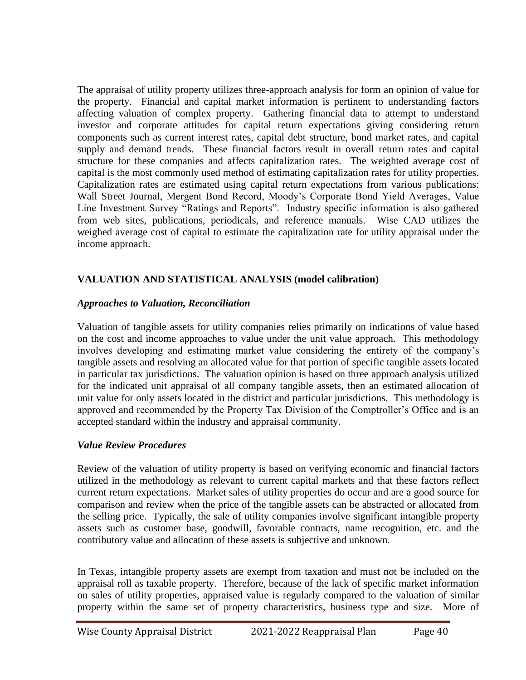The appraisal of utility property utilizes three-approach analysis for form an opinion of value for the property. Financial and capital market information is pertinent to understanding factors affecting valuation of complex property. Gathering financial data to attempt to understand investor and corporate attitudes for capital return expectations giving considering return components such as current interest rates, capital debt structure, bond market rates, and capital supply and demand trends. These financial factors result in overall return rates and capital structure for these companies and affects capitalization rates. The weighted average cost of capital is the most commonly used method of estimating capitalization rates for utility properties. Capitalization rates are estimated using capital return expectations from various publications: Wall Street Journal, Mergent Bond Record, Moody's Corporate Bond Yield Averages, Value Line Investment Survey "Ratings and Reports". Industry specific information is also gathered from web sites, publications, periodicals, and reference manuals. Wise CAD utilizes the weighed average cost of capital to estimate the capitalization rate for utility appraisal under the income approach.

# **VALUATION AND STATISTICAL ANALYSIS (model calibration)**

## *Approaches to Valuation, Reconciliation*

Valuation of tangible assets for utility companies relies primarily on indications of value based on the cost and income approaches to value under the unit value approach. This methodology involves developing and estimating market value considering the entirety of the company's tangible assets and resolving an allocated value for that portion of specific tangible assets located in particular tax jurisdictions. The valuation opinion is based on three approach analysis utilized for the indicated unit appraisal of all company tangible assets, then an estimated allocation of unit value for only assets located in the district and particular jurisdictions. This methodology is approved and recommended by the Property Tax Division of the Comptroller's Office and is an accepted standard within the industry and appraisal community.

# *Value Review Procedures*

Review of the valuation of utility property is based on verifying economic and financial factors utilized in the methodology as relevant to current capital markets and that these factors reflect current return expectations. Market sales of utility properties do occur and are a good source for comparison and review when the price of the tangible assets can be abstracted or allocated from the selling price. Typically, the sale of utility companies involve significant intangible property assets such as customer base, goodwill, favorable contracts, name recognition, etc. and the contributory value and allocation of these assets is subjective and unknown.

In Texas, intangible property assets are exempt from taxation and must not be included on the appraisal roll as taxable property. Therefore, because of the lack of specific market information on sales of utility properties, appraised value is regularly compared to the valuation of similar property within the same set of property characteristics, business type and size. More of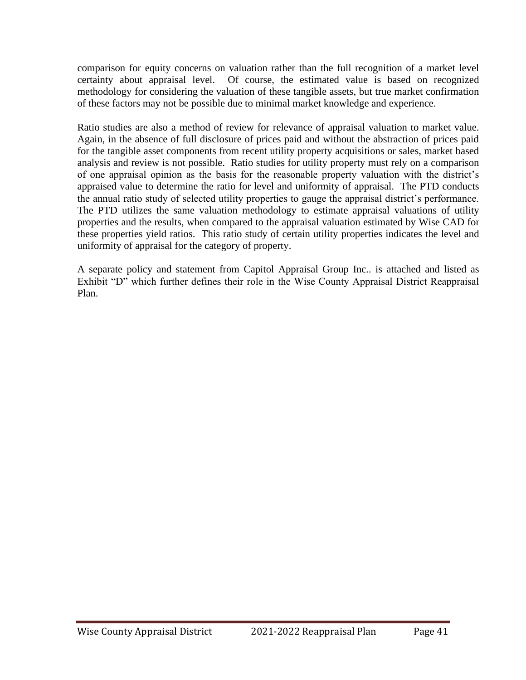comparison for equity concerns on valuation rather than the full recognition of a market level certainty about appraisal level. Of course, the estimated value is based on recognized methodology for considering the valuation of these tangible assets, but true market confirmation of these factors may not be possible due to minimal market knowledge and experience.

Ratio studies are also a method of review for relevance of appraisal valuation to market value. Again, in the absence of full disclosure of prices paid and without the abstraction of prices paid for the tangible asset components from recent utility property acquisitions or sales, market based analysis and review is not possible. Ratio studies for utility property must rely on a comparison of one appraisal opinion as the basis for the reasonable property valuation with the district's appraised value to determine the ratio for level and uniformity of appraisal. The PTD conducts the annual ratio study of selected utility properties to gauge the appraisal district's performance. The PTD utilizes the same valuation methodology to estimate appraisal valuations of utility properties and the results, when compared to the appraisal valuation estimated by Wise CAD for these properties yield ratios. This ratio study of certain utility properties indicates the level and uniformity of appraisal for the category of property.

A separate policy and statement from Capitol Appraisal Group Inc.. is attached and listed as Exhibit "D" which further defines their role in the Wise County Appraisal District Reappraisal Plan.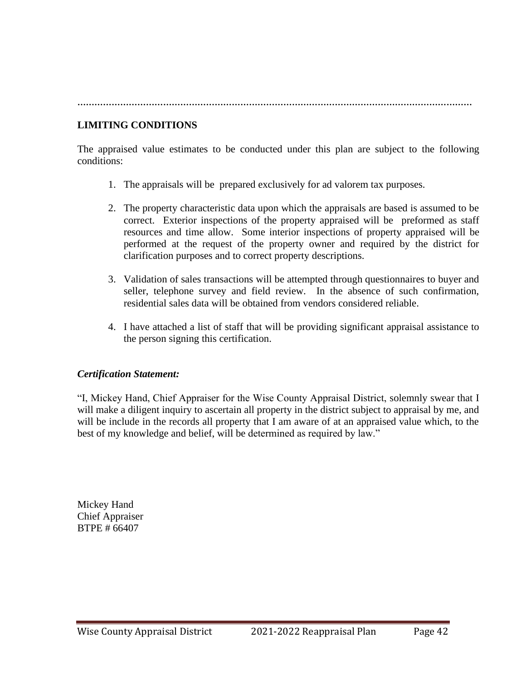**…………………………………………………………………………………………………………………………**

#### **LIMITING CONDITIONS**

The appraised value estimates to be conducted under this plan are subject to the following conditions:

- 1. The appraisals will be prepared exclusively for ad valorem tax purposes.
- 2. The property characteristic data upon which the appraisals are based is assumed to be correct. Exterior inspections of the property appraised will be preformed as staff resources and time allow. Some interior inspections of property appraised will be performed at the request of the property owner and required by the district for clarification purposes and to correct property descriptions.
- 3. Validation of sales transactions will be attempted through questionnaires to buyer and seller, telephone survey and field review. In the absence of such confirmation, residential sales data will be obtained from vendors considered reliable.
- 4. I have attached a list of staff that will be providing significant appraisal assistance to the person signing this certification.

#### *Certification Statement:*

"I, Mickey Hand, Chief Appraiser for the Wise County Appraisal District, solemnly swear that I will make a diligent inquiry to ascertain all property in the district subject to appraisal by me, and will be include in the records all property that I am aware of at an appraised value which, to the best of my knowledge and belief, will be determined as required by law."

Mickey Hand Chief Appraiser BTPE # 66407